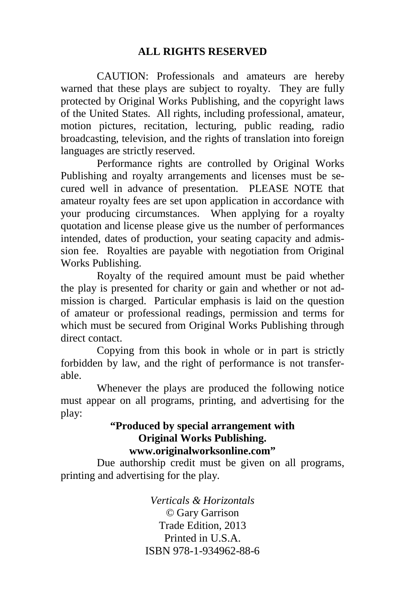CAUTION: Professionals and amateurs are hereby warned that these plays are subject to royalty. They are fully protected by Original Works Publishing, and the copyright laws of the United States. All rights, including professional, amateur, motion pictures, recitation, lecturing, public reading, radio broadcasting, television, and the rights of translation into foreign languages are strictly reserved.

 Performance rights are controlled by Original Works Publishing and royalty arrangements and licenses must be secured well in advance of presentation. PLEASE NOTE that amateur royalty fees are set upon application in accordance with your producing circumstances. When applying for a royalty quotation and license please give us the number of performances intended, dates of production, your seating capacity and admission fee. Royalties are payable with negotiation from Original Works Publishing.

 Royalty of the required amount must be paid whether the play is presented for charity or gain and whether or not admission is charged. Particular emphasis is laid on the question of amateur or professional readings, permission and terms for which must be secured from Original Works Publishing through direct contact.

 Copying from this book in whole or in part is strictly forbidden by law, and the right of performance is not transferable.

 Whenever the plays are produced the following notice must appear on all programs, printing, and advertising for the play:

### **"Produced by special arrangement with Original Works Publishing. www.originalworksonline.com"**

 Due authorship credit must be given on all programs, printing and advertising for the play.

> *Verticals & Horizontals ©* Gary Garrison Trade Edition, 2013 Printed in U.S.A. ISBN 978-1-934962-88-6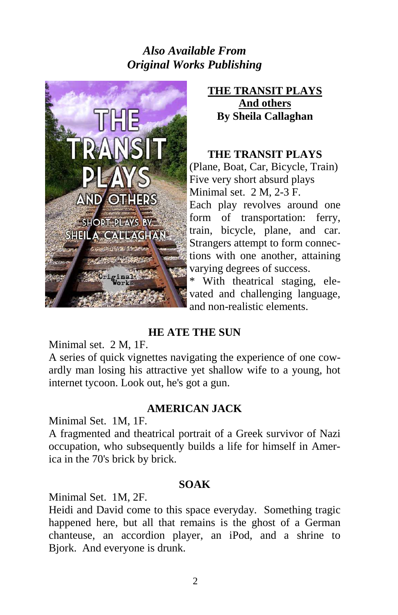### *Also Available From Original Works Publishing*



**THE TRANSIT PLAYS And others By Sheila Callaghan** 

### **THE TRANSIT PLAYS**

(Plane, Boat, Car, Bicycle, Train) Five very short absurd plays Minimal set. 2 M, 2-3 F. Each play revolves around one form of transportation: ferry, train, bicycle, plane, and car. Strangers attempt to form connections with one another, attaining varying degrees of success.

\* With theatrical staging, elevated and challenging language, and non-realistic elements.

### **HE ATE THE SUN**

Minimal set. 2 M, 1F.

A series of quick vignettes navigating the experience of one cowardly man losing his attractive yet shallow wife to a young, hot internet tycoon. Look out, he's got a gun.

### **AMERICAN JACK**

Minimal Set. 1M, 1F.

A fragmented and theatrical portrait of a Greek survivor of Nazi occupation, who subsequently builds a life for himself in America in the 70's brick by brick.

### **SOAK**

Minimal Set. 1M, 2F.

Heidi and David come to this space everyday. Something tragic happened here, but all that remains is the ghost of a German chanteuse, an accordion player, an iPod, and a shrine to Bjork. And everyone is drunk.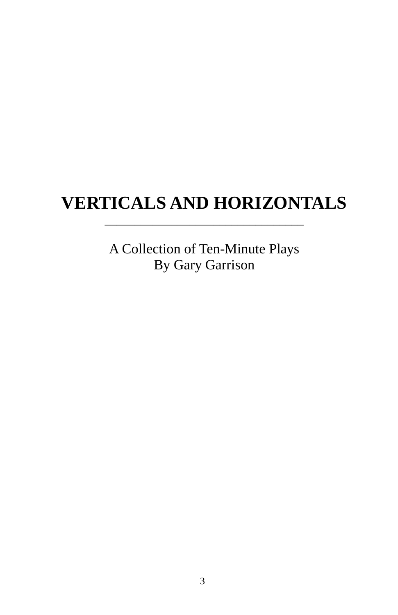# **VERTICALS AND HORIZONTALS**  \_\_\_\_\_\_\_\_\_\_\_\_\_\_\_\_\_\_\_\_\_\_\_\_\_\_\_\_\_\_\_\_\_

A Collection of Ten-Minute Plays By Gary Garrison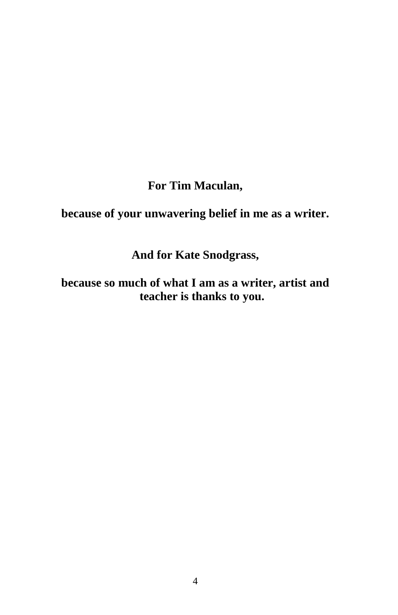**For Tim Maculan,** 

### **because of your unwavering belief in me as a writer.**

**And for Kate Snodgrass,** 

## **because so much of what I am as a writer, artist and teacher is thanks to you.**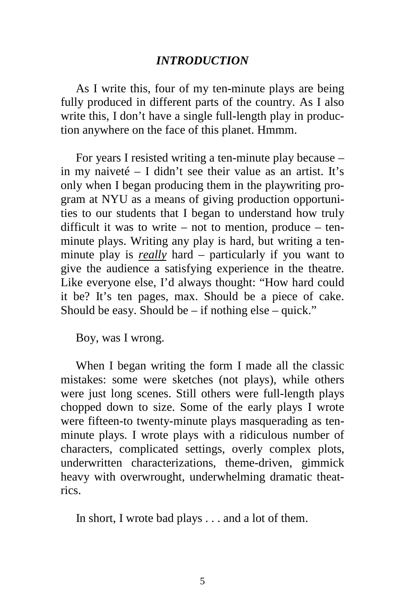### *INTRODUCTION*

 As I write this, four of my ten-minute plays are being fully produced in different parts of the country. As I also write this, I don't have a single full-length play in production anywhere on the face of this planet. Hmmm.

 For years I resisted writing a ten-minute play because – in my naiveté – I didn't see their value as an artist. It's only when I began producing them in the playwriting program at NYU as a means of giving production opportunities to our students that I began to understand how truly difficult it was to write – not to mention, produce – tenminute plays. Writing any play is hard, but writing a tenminute play is *really* hard – particularly if you want to give the audience a satisfying experience in the theatre. Like everyone else, I'd always thought: "How hard could it be? It's ten pages, max. Should be a piece of cake. Should be easy. Should be  $-$  if nothing else  $-$  quick."

Boy, was I wrong.

 When I began writing the form I made all the classic mistakes: some were sketches (not plays), while others were just long scenes. Still others were full-length plays chopped down to size. Some of the early plays I wrote were fifteen-to twenty-minute plays masquerading as tenminute plays. I wrote plays with a ridiculous number of characters, complicated settings, overly complex plots, underwritten characterizations, theme-driven, gimmick heavy with overwrought, underwhelming dramatic theatrics.

In short, I wrote bad plays . . . and a lot of them.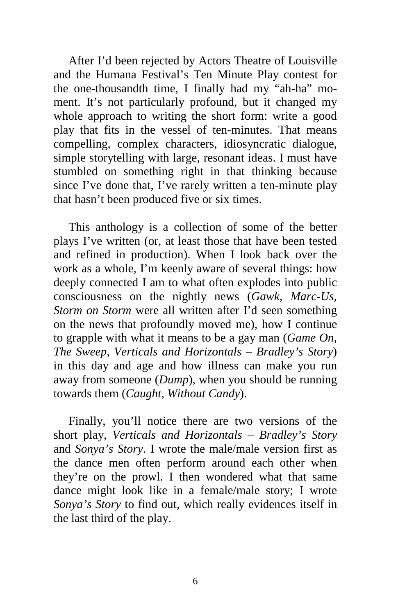After I'd been rejected by Actors Theatre of Louisville and the Humana Festival's Ten Minute Play contest for the one-thousandth time, I finally had my "ah-ha" moment. It's not particularly profound, but it changed my whole approach to writing the short form: write a good play that fits in the vessel of ten-minutes. That means compelling, complex characters, idiosyncratic dialogue, simple storytelling with large, resonant ideas. I must have stumbled on something right in that thinking because since I've done that, I've rarely written a ten-minute play that hasn't been produced five or six times.

 This anthology is a collection of some of the better plays I've written (or, at least those that have been tested and refined in production). When I look back over the work as a whole, I'm keenly aware of several things: how deeply connected I am to what often explodes into public consciousness on the nightly news (*Gawk, Marc-Us, Storm on Storm* were all written after I'd seen something on the news that profoundly moved me), how I continue to grapple with what it means to be a gay man (*Game On, The Sweep, Verticals and Horizontals – Bradley's Story*) in this day and age and how illness can make you run away from someone (*Dump*), when you should be running towards them (*Caught, Without Candy*).

 Finally, you'll notice there are two versions of the short play, *Verticals and Horizontals – Bradley's Story*  and *Sonya's Story*. I wrote the male/male version first as the dance men often perform around each other when they're on the prowl. I then wondered what that same dance might look like in a female/male story; I wrote *Sonya's Story* to find out, which really evidences itself in the last third of the play.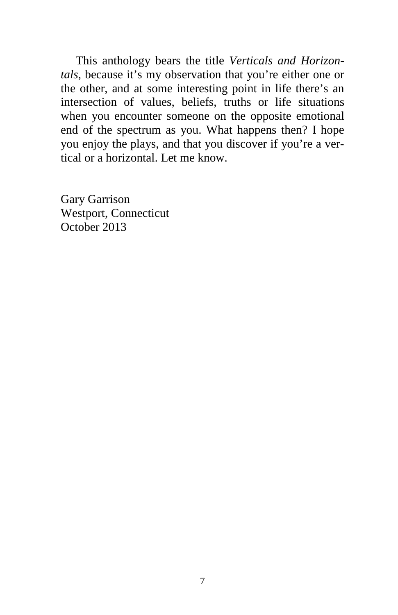This anthology bears the title *Verticals and Horizontals*, because it's my observation that you're either one or the other, and at some interesting point in life there's an intersection of values, beliefs, truths or life situations when you encounter someone on the opposite emotional end of the spectrum as you. What happens then? I hope you enjoy the plays, and that you discover if you're a vertical or a horizontal. Let me know.

Gary Garrison Westport, Connecticut October 2013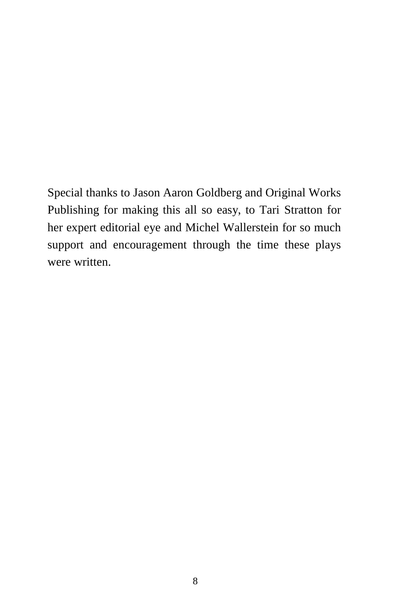Special thanks to Jason Aaron Goldberg and Original Works Publishing for making this all so easy, to Tari Stratton for her expert editorial eye and Michel Wallerstein for so much support and encouragement through the time these plays were written.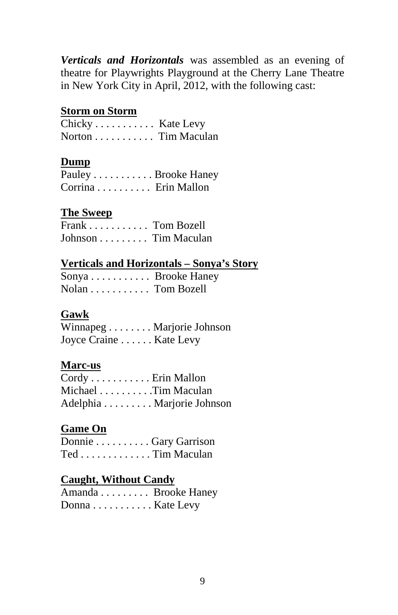*Verticals and Horizontals* was assembled as an evening of theatre for Playwrights Playground at the Cherry Lane Theatre in New York City in April, 2012, with the following cast:

#### **Storm on Storm**

Chicky . . . . . . . . . . . Kate Levy Norton . . . . . . . . . . . Tim Maculan

#### **Dump**

Pauley . . . . . . . . . . . Brooke Haney Corrina . . . . . . . . . . Erin Mallon

#### **The Sweep**

Frank . . . . . . . . . . . Tom Bozell Johnson . . . . . . . . . Tim Maculan

#### **Verticals and Horizontals – Sonya's Story**

Sonya . . . . . . . . . . . Brooke Haney Nolan . . . . . . . . . . . Tom Bozell

#### **Gawk**

Winnapeg . . . . . . . . Marjorie Johnson Joyce Craine . . . . . . Kate Levy

#### **Marc-us**

| $Cordy$ Erin Mallon       |
|---------------------------|
| Michael Tim Maculan       |
| Adelphia Marjorie Johnson |

#### **Game On**

Donnie . . . . . . . . . . Gary Garrison Ted . . . . . . . . . . . . . Tim Maculan

### **Caught, Without Candy**

Amanda . . . . . . . . . Brooke Haney Donna . . . . . . . . . . . Kate Levy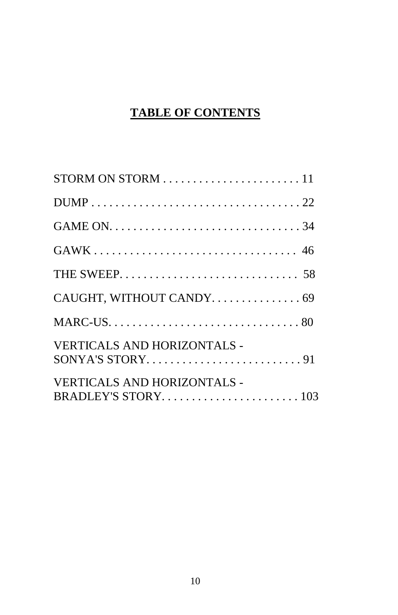# **TABLE OF CONTENTS**

| <b>VERTICALS AND HORIZONTALS -</b> |
|------------------------------------|
| <b>VERTICALS AND HORIZONTALS -</b> |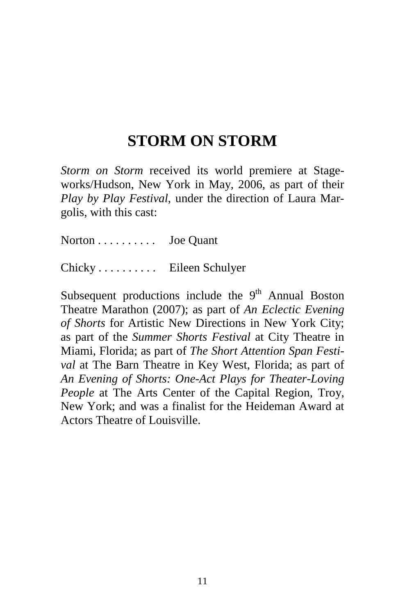# **STORM ON STORM**

*Storm on Storm* received its world premiere at Stageworks/Hudson, New York in May, 2006, as part of their *Play by Play Festival*, under the direction of Laura Margolis, with this cast:

Norton . . . . . . . . . . Joe Quant

Chicky . . . . . . . . . . Eileen Schulyer

Subsequent productions include the  $9<sup>th</sup>$  Annual Boston Theatre Marathon (2007); as part of *An Eclectic Evening of Shorts* for Artistic New Directions in New York City; as part of the *Summer Shorts Festival* at City Theatre in Miami, Florida; as part of *The Short Attention Span Festival* at The Barn Theatre in Key West, Florida; as part of *An Evening of Shorts: One-Act Plays for Theater-Loving People* at The Arts Center of the Capital Region, Troy, New York; and was a finalist for the Heideman Award at Actors Theatre of Louisville.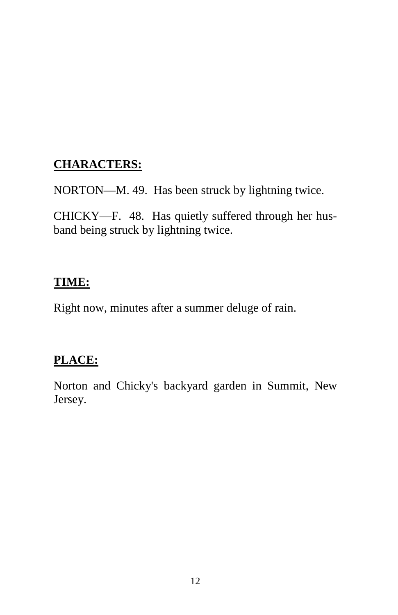# **CHARACTERS:**

NORTON—M. 49. Has been struck by lightning twice.

CHICKY—F. 48. Has quietly suffered through her husband being struck by lightning twice.

### **TIME:**

Right now, minutes after a summer deluge of rain.

### **PLACE:**

Norton and Chicky's backyard garden in Summit, New Jersey.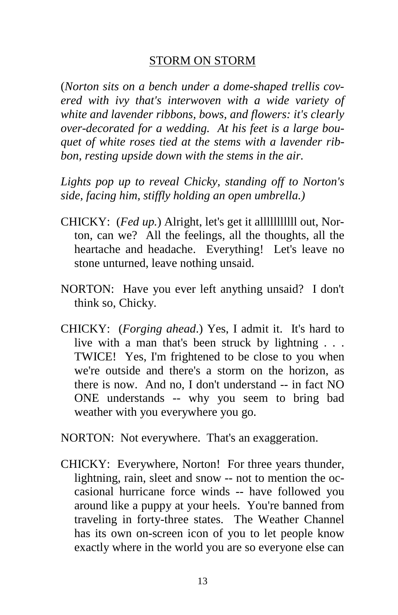### STORM ON STORM

(*Norton sits on a bench under a dome-shaped trellis covered with ivy that's interwoven with a wide variety of white and lavender ribbons, bows, and flowers: it's clearly over-decorated for a wedding. At his feet is a large bouquet of white roses tied at the stems with a lavender ribbon, resting upside down with the stems in the air.*

*Lights pop up to reveal Chicky, standing off to Norton's side, facing him, stiffly holding an open umbrella.)* 

- CHICKY: (*Fed up.*) Alright, let's get it allllllllllll out, Norton, can we? All the feelings, all the thoughts, all the heartache and headache. Everything! Let's leave no stone unturned, leave nothing unsaid.
- NORTON: Have you ever left anything unsaid? I don't think so, Chicky.
- CHICKY: (*Forging ahead*.) Yes, I admit it. It's hard to live with a man that's been struck by lightning . . . TWICE! Yes, I'm frightened to be close to you when we're outside and there's a storm on the horizon, as there is now. And no, I don't understand -- in fact NO ONE understands -- why you seem to bring bad weather with you everywhere you go.
- NORTON: Not everywhere. That's an exaggeration.
- CHICKY: Everywhere, Norton! For three years thunder, lightning, rain, sleet and snow -- not to mention the occasional hurricane force winds -- have followed you around like a puppy at your heels. You're banned from traveling in forty-three states. The Weather Channel has its own on-screen icon of you to let people know exactly where in the world you are so everyone else can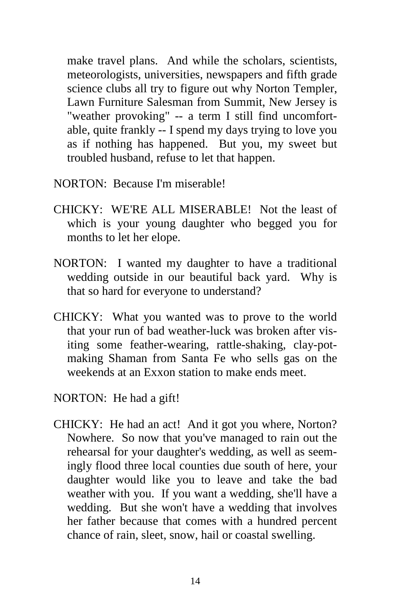make travel plans. And while the scholars, scientists, meteorologists, universities, newspapers and fifth grade science clubs all try to figure out why Norton Templer, Lawn Furniture Salesman from Summit, New Jersey is "weather provoking" -- a term I still find uncomfortable, quite frankly -- I spend my days trying to love you as if nothing has happened. But you, my sweet but troubled husband, refuse to let that happen.

- NORTON: Because I'm miserable!
- CHICKY: WE'RE ALL MISERABLE! Not the least of which is your young daughter who begged you for months to let her elope.
- NORTON: I wanted my daughter to have a traditional wedding outside in our beautiful back yard. Why is that so hard for everyone to understand?
- CHICKY: What you wanted was to prove to the world that your run of bad weather-luck was broken after visiting some feather-wearing, rattle-shaking, clay-potmaking Shaman from Santa Fe who sells gas on the weekends at an Exxon station to make ends meet.
- NORTON: He had a gift!
- CHICKY: He had an act! And it got you where, Norton? Nowhere. So now that you've managed to rain out the rehearsal for your daughter's wedding, as well as seemingly flood three local counties due south of here, your daughter would like you to leave and take the bad weather with you. If you want a wedding, she'll have a wedding. But she won't have a wedding that involves her father because that comes with a hundred percent chance of rain, sleet, snow, hail or coastal swelling.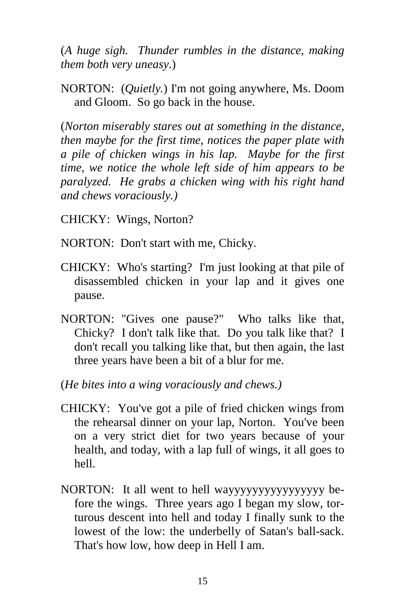(*A huge sigh. Thunder rumbles in the distance, making them both very uneasy*.)

NORTON: (*Quietly.*) I'm not going anywhere, Ms. Doom and Gloom. So go back in the house.

(*Norton miserably stares out at something in the distance, then maybe for the first time, notices the paper plate with a pile of chicken wings in his lap. Maybe for the first time, we notice the whole left side of him appears to be paralyzed. He grabs a chicken wing with his right hand and chews voraciously.)*

- CHICKY: Wings, Norton?
- NORTON: Don't start with me, Chicky.
- CHICKY: Who's starting? I'm just looking at that pile of disassembled chicken in your lap and it gives one pause.
- NORTON: "Gives one pause?" Who talks like that, Chicky? I don't talk like that. Do you talk like that? I don't recall you talking like that, but then again, the last three years have been a bit of a blur for me.
- (*He bites into a wing voraciously and chews.)*
- CHICKY: You've got a pile of fried chicken wings from the rehearsal dinner on your lap, Norton. You've been on a very strict diet for two years because of your health, and today, with a lap full of wings, it all goes to hell.
- NORTON: It all went to hell wayyyyyyyyyyyyyyyy before the wings. Three years ago I began my slow, torturous descent into hell and today I finally sunk to the lowest of the low: the underbelly of Satan's ball-sack. That's how low, how deep in Hell I am.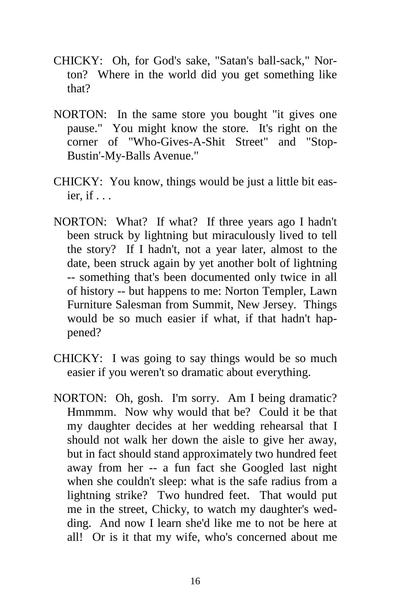- CHICKY: Oh, for God's sake, "Satan's ball-sack," Norton? Where in the world did you get something like that?
- NORTON: In the same store you bought "it gives one pause." You might know the store. It's right on the corner of "Who-Gives-A-Shit Street" and "Stop-Bustin'-My-Balls Avenue."
- CHICKY: You know, things would be just a little bit easier, if . . .
- NORTON: What? If what? If three years ago I hadn't been struck by lightning but miraculously lived to tell the story? If I hadn't, not a year later, almost to the date, been struck again by yet another bolt of lightning -- something that's been documented only twice in all of history -- but happens to me: Norton Templer, Lawn Furniture Salesman from Summit, New Jersey. Things would be so much easier if what, if that hadn't happened?
- CHICKY: I was going to say things would be so much easier if you weren't so dramatic about everything.
- NORTON: Oh, gosh. I'm sorry. Am I being dramatic? Hmmmm. Now why would that be? Could it be that my daughter decides at her wedding rehearsal that I should not walk her down the aisle to give her away, but in fact should stand approximately two hundred feet away from her -- a fun fact she Googled last night when she couldn't sleep: what is the safe radius from a lightning strike? Two hundred feet. That would put me in the street, Chicky, to watch my daughter's wedding. And now I learn she'd like me to not be here at all! Or is it that my wife, who's concerned about me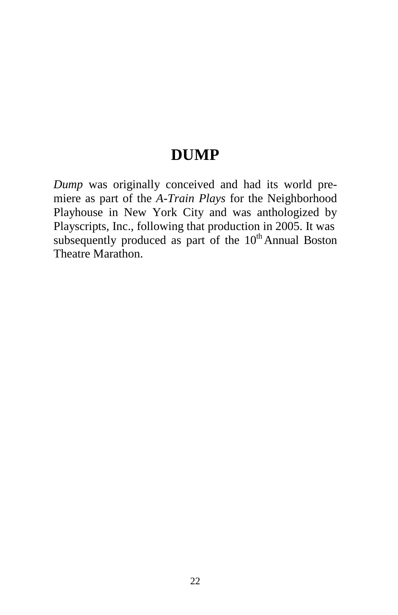# **DUMP**

*Dump* was originally conceived and had its world premiere as part of the *A-Train Plays* for the Neighborhood Playhouse in New York City and was anthologized by Playscripts, Inc., following that production in 2005. It was subsequently produced as part of the 10<sup>th</sup> Annual Boston Theatre Marathon.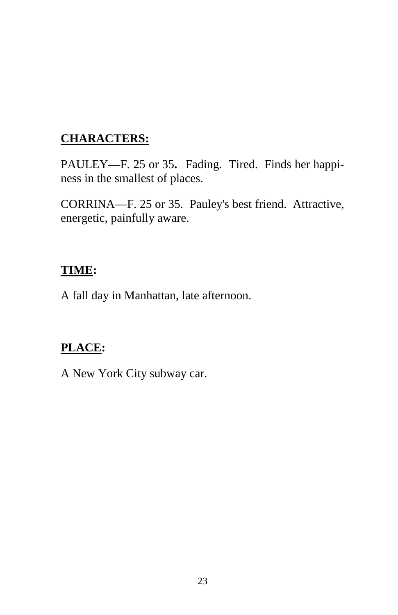# **CHARACTERS:**

PAULEY**—**F. 25 or 35**.** Fading. Tired. Finds her happiness in the smallest of places.

CORRINA—F. 25 or 35. Pauley's best friend. Attractive, energetic, painfully aware.

# **TIME:**

A fall day in Manhattan, late afternoon.

# **PLACE:**

A New York City subway car.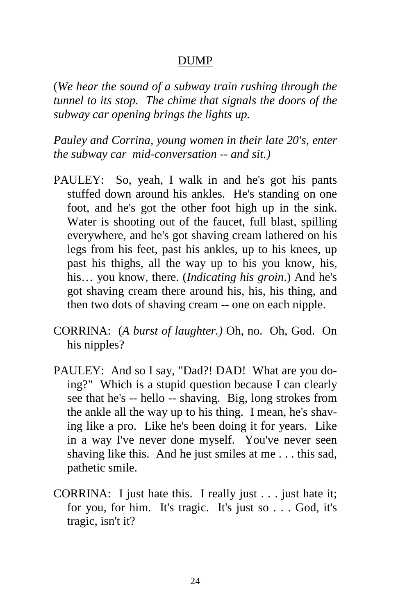### DUMP

(*We hear the sound of a subway train rushing through the tunnel to its stop. The chime that signals the doors of the subway car opening brings the lights up.* 

*Pauley and Corrina, young women in their late 20's, enter the subway car mid-conversation -- and sit.)* 

- PAULEY: So, yeah, I walk in and he's got his pants stuffed down around his ankles. He's standing on one foot, and he's got the other foot high up in the sink. Water is shooting out of the faucet, full blast, spilling everywhere, and he's got shaving cream lathered on his legs from his feet, past his ankles, up to his knees, up past his thighs, all the way up to his you know, his, his… you know, there. (*Indicating his groin*.) And he's got shaving cream there around his, his, his thing, and then two dots of shaving cream -- one on each nipple.
- CORRINA: (*A burst of laughter.)* Oh, no. Oh, God. On his nipples?
- PAULEY: And so I say, "Dad?! DAD! What are you doing?" Which is a stupid question because I can clearly see that he's -- hello -- shaving. Big, long strokes from the ankle all the way up to his thing. I mean, he's shaving like a pro. Like he's been doing it for years. Like in a way I've never done myself. You've never seen shaving like this. And he just smiles at me . . . this sad, pathetic smile.
- CORRINA: I just hate this. I really just . . . just hate it; for you, for him. It's tragic. It's just so . . . God, it's tragic, isn't it?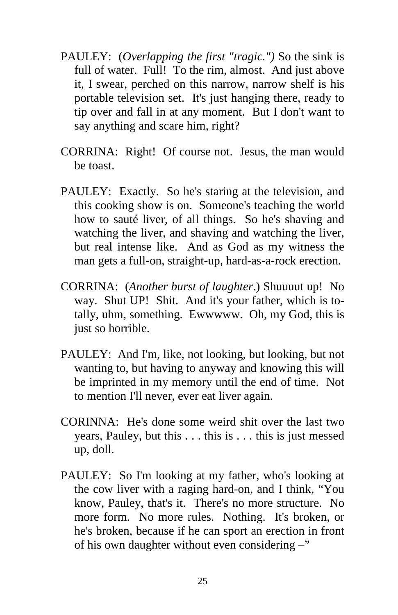- PAULEY: (*Overlapping the first "tragic.")* So the sink is full of water. Full! To the rim, almost. And just above it, I swear, perched on this narrow, narrow shelf is his portable television set. It's just hanging there, ready to tip over and fall in at any moment. But I don't want to say anything and scare him, right?
- CORRINA: Right! Of course not. Jesus, the man would be toast.
- PAULEY: Exactly. So he's staring at the television, and this cooking show is on. Someone's teaching the world how to sauté liver, of all things. So he's shaving and watching the liver, and shaving and watching the liver, but real intense like. And as God as my witness the man gets a full-on, straight-up, hard-as-a-rock erection.
- CORRINA: (*Another burst of laughter*.) Shuuuut up! No way. Shut UP! Shit. And it's your father, which is totally, uhm, something. Ewwwww. Oh, my God, this is just so horrible.
- PAULEY: And I'm, like, not looking, but looking, but not wanting to, but having to anyway and knowing this will be imprinted in my memory until the end of time. Not to mention I'll never, ever eat liver again.
- CORINNA: He's done some weird shit over the last two years, Pauley, but this . . . this is . . . this is just messed up, doll.
- PAULEY: So I'm looking at my father, who's looking at the cow liver with a raging hard-on, and I think, "You know, Pauley, that's it. There's no more structure. No more form. No more rules. Nothing. It's broken, or he's broken, because if he can sport an erection in front of his own daughter without even considering –"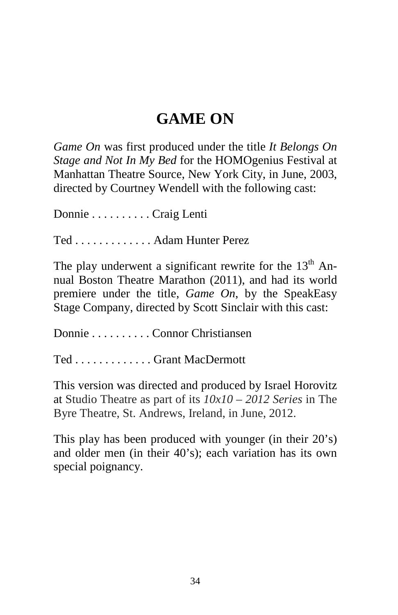# **GAME ON**

*Game On* was first produced under the title *It Belongs On Stage and Not In My Bed* for the HOMOgenius Festival at Manhattan Theatre Source, New York City, in June, 2003, directed by Courtney Wendell with the following cast:

Donnie . . . . . . . . . . Craig Lenti

Ted . . . . . . . . . . . . . Adam Hunter Perez

The play underwent a significant rewrite for the  $13<sup>th</sup>$  Annual Boston Theatre Marathon (2011), and had its world premiere under the title, *Game On*, by the SpeakEasy Stage Company, directed by Scott Sinclair with this cast:

Donnie . . . . . . . . . . Connor Christiansen

Ted . . . . . . . . . . . . . Grant MacDermott

This version was directed and produced by Israel Horovitz at Studio Theatre as part of its *10x10 – 2012 Series* in The Byre Theatre, St. Andrews, Ireland, in June, 2012.

This play has been produced with younger (in their 20's) and older men (in their 40's); each variation has its own special poignancy.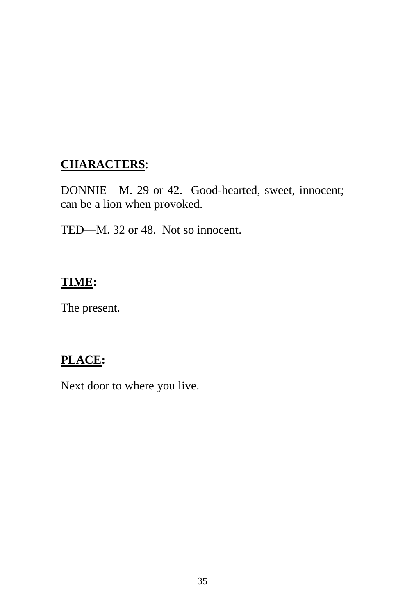# **CHARACTERS**:

DONNIE—M. 29 or 42. Good-hearted, sweet, innocent; can be a lion when provoked.

TED—M. 32 or 48.Not so innocent.

### **TIME:**

The present.

### **PLACE:**

Next door to where you live.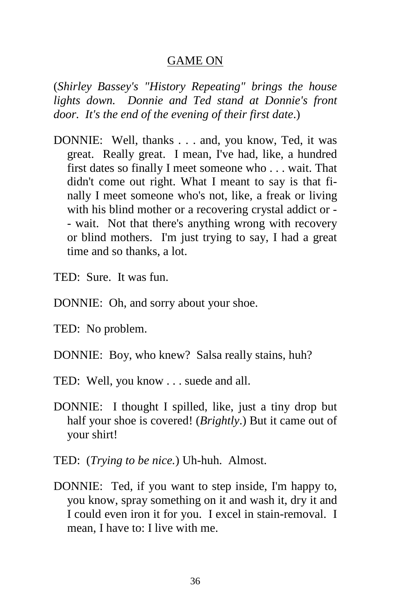#### GAME ON

(*Shirley Bassey's "History Repeating" brings the house lights down. Donnie and Ted stand at Donnie's front door. It's the end of the evening of their first date*.)

- DONNIE: Well, thanks . . . and, you know, Ted, it was great. Really great. I mean, I've had, like, a hundred first dates so finally I meet someone who . . . wait. That didn't come out right. What I meant to say is that finally I meet someone who's not, like, a freak or living with his blind mother or a recovering crystal addict or - - wait. Not that there's anything wrong with recovery or blind mothers. I'm just trying to say, I had a great time and so thanks, a lot.
- TED: Sure. It was fun.
- DONNIE: Oh, and sorry about your shoe.
- TED: No problem.
- DONNIE: Boy, who knew? Salsa really stains, huh?
- TED: Well, you know . . . suede and all.
- DONNIE: I thought I spilled, like, just a tiny drop but half your shoe is covered! (*Brightly*.) But it came out of your shirt!
- TED: (*Trying to be nice.*) Uh-huh. Almost.
- DONNIE: Ted, if you want to step inside, I'm happy to, you know, spray something on it and wash it, dry it and I could even iron it for you. I excel in stain-removal. I mean, I have to: I live with me.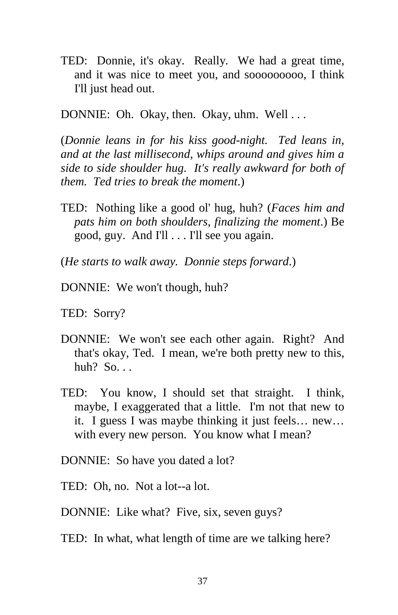TED: Donnie, it's okay. Really. We had a great time, and it was nice to meet you, and sooooooooo, I think I'll just head out.

DONNIE: Oh. Okay, then. Okay, uhm. Well . . .

(*Donnie leans in for his kiss good-night. Ted leans in, and at the last millisecond, whips around and gives him a side to side shoulder hug. It's really awkward for both of them. Ted tries to break the moment*.)

- TED: Nothing like a good ol' hug, huh? (*Faces him and pats him on both shoulders, finalizing the moment*.) Be good, guy. And I'll . . . I'll see you again.
- (*He starts to walk away. Donnie steps forward*.)
- DONNIE: We won't though, huh?
- TED: Sorry?
- DONNIE: We won't see each other again. Right? And that's okay, Ted. I mean, we're both pretty new to this, huh?  $So.$ ...
- TED: You know, I should set that straight. I think, maybe, I exaggerated that a little. I'm not that new to it. I guess I was maybe thinking it just feels… new… with every new person. You know what I mean?
- DONNIE: So have you dated a lot?
- TED: Oh, no. Not a lot--a lot.
- DONNIE: Like what? Five, six, seven guys?
- TED: In what, what length of time are we talking here?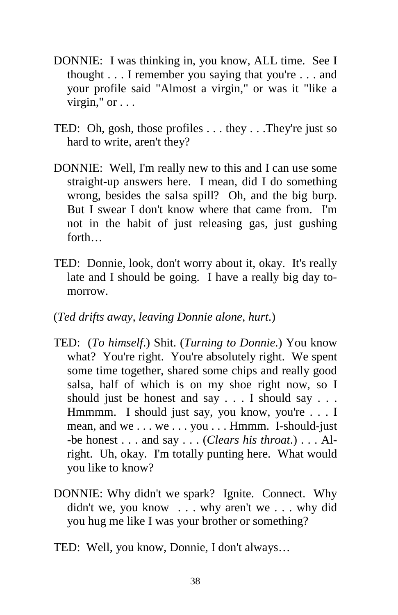- DONNIE: I was thinking in, you know, ALL time. See I thought . . . I remember you saying that you're . . . and your profile said "Almost a virgin," or was it "like a virgin," or  $\ldots$
- TED: Oh, gosh, those profiles . . . they . . .They're just so hard to write, aren't they?
- DONNIE: Well, I'm really new to this and I can use some straight-up answers here. I mean, did I do something wrong, besides the salsa spill? Oh, and the big burp. But I swear I don't know where that came from. I'm not in the habit of just releasing gas, just gushing forth…
- TED: Donnie, look, don't worry about it, okay. It's really late and I should be going. I have a really big day tomorrow.

### (*Ted drifts away, leaving Donnie alone, hurt*.)

- TED: (*To himself*.) Shit. (*Turning to Donnie*.) You know what? You're right. You're absolutely right. We spent some time together, shared some chips and really good salsa, half of which is on my shoe right now, so I should just be honest and say . . . I should say . . . Hmmmm. I should just say, you know, you're . . . I mean, and we . . . we . . . you . . . Hmmm. I-should-just -be honest . . . and say . . . (*Clears his throat*.) . . . Alright. Uh, okay. I'm totally punting here. What would you like to know?
- DONNIE: Why didn't we spark? Ignite. Connect. Why didn't we, you know . . . why aren't we . . . why did you hug me like I was your brother or something?
- TED: Well, you know, Donnie, I don't always…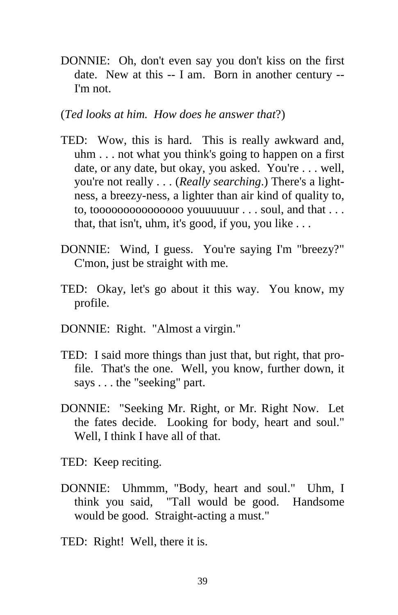DONNIE: Oh, don't even say you don't kiss on the first date. New at this -- I am. Born in another century -- I'm not.

(*Ted looks at him. How does he answer that*?)

- TED: Wow, this is hard. This is really awkward and, uhm . . . not what you think's going to happen on a first date, or any date, but okay, you asked. You're . . . well, you're not really . . . (*Really searching*.) There's a lightness, a breezy-ness, a lighter than air kind of quality to, to, tooooooooooooooo youuuuuur . . . soul, and that . . . that, that isn't, uhm, it's good, if you, you like . . .
- DONNIE: Wind, I guess. You're saying I'm "breezy?" C'mon, just be straight with me.
- TED: Okay, let's go about it this way. You know, my profile.
- DONNIE: Right. "Almost a virgin."
- TED: I said more things than just that, but right, that profile. That's the one. Well, you know, further down, it says . . . the "seeking" part.
- DONNIE: "Seeking Mr. Right, or Mr. Right Now. Let the fates decide. Looking for body, heart and soul." Well, I think I have all of that.
- TED: Keep reciting.
- DONNIE: Uhmmm, "Body, heart and soul." Uhm, I think you said, "Tall would be good. Handsome would be good. Straight-acting a must."
- TED: Right! Well, there it is.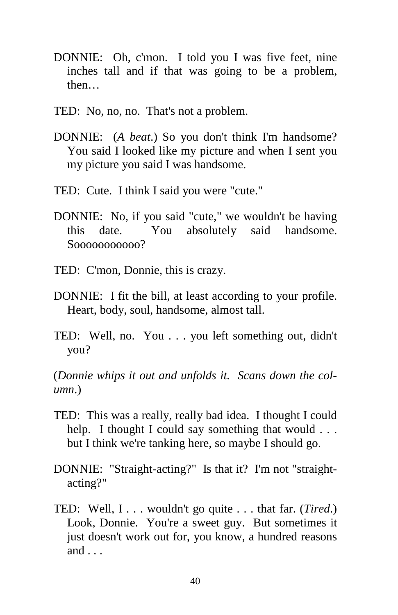- DONNIE: Oh, c'mon. I told you I was five feet, nine inches tall and if that was going to be a problem, then…
- TED: No, no, no. That's not a problem.
- DONNIE: (*A beat*.) So you don't think I'm handsome? You said I looked like my picture and when I sent you my picture you said I was handsome.
- TED: Cute. I think I said you were "cute."
- DONNIE: No, if you said "cute," we wouldn't be having this date. You absolutely said handsome. Sooooooooo?
- TED: C'mon, Donnie, this is crazy.
- DONNIE: I fit the bill, at least according to your profile. Heart, body, soul, handsome, almost tall.
- TED: Well, no. You . . . you left something out, didn't you?

(*Donnie whips it out and unfolds it. Scans down the column*.)

- TED: This was a really, really bad idea. I thought I could help. I thought I could say something that would . . . but I think we're tanking here, so maybe I should go.
- DONNIE: "Straight-acting?" Is that it? I'm not "straightacting?"
- TED: Well, I . . . wouldn't go quite . . . that far. (*Tired*.) Look, Donnie. You're a sweet guy. But sometimes it just doesn't work out for, you know, a hundred reasons and . . .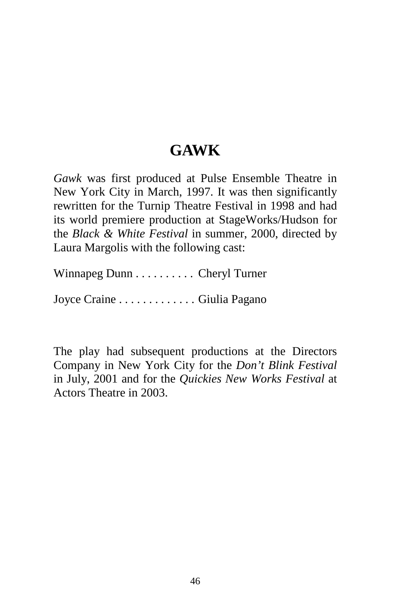# **GAWK**

*Gawk* was first produced at Pulse Ensemble Theatre in New York City in March, 1997. It was then significantly rewritten for the Turnip Theatre Festival in 1998 and had its world premiere production at StageWorks/Hudson for the *Black & White Festival* in summer, 2000, directed by Laura Margolis with the following cast:

Winnapeg Dunn . . . . . . . . . . Cheryl Turner

Joyce Craine . . . . . . . . . . . . . Giulia Pagano

The play had subsequent productions at the Directors Company in New York City for the *Don't Blink Festival* in July, 2001 and for the *Quickies New Works Festival* at Actors Theatre in 2003.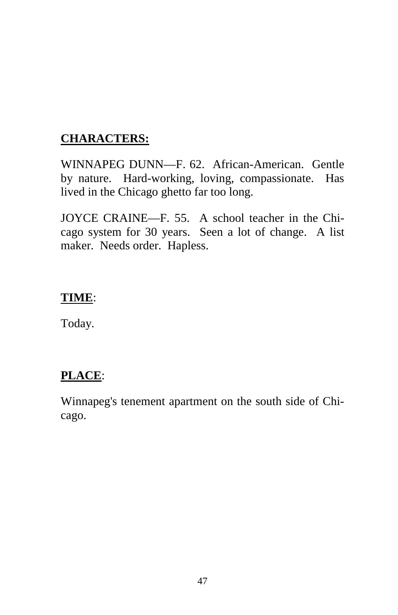# **CHARACTERS:**

WINNAPEG DUNN—F. 62. African-American. Gentle by nature. Hard-working, loving, compassionate. Has lived in the Chicago ghetto far too long.

JOYCE CRAINE—F. 55. A school teacher in the Chicago system for 30 years. Seen a lot of change. A list maker. Needs order. Hapless.

### **TIME**:

Today.

# **PLACE**:

Winnapeg's tenement apartment on the south side of Chicago.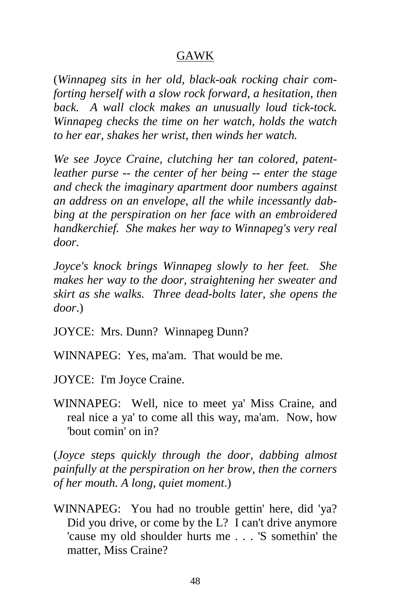### GAWK

(*Winnapeg sits in her old, black-oak rocking chair comforting herself with a slow rock forward, a hesitation, then back. A wall clock makes an unusually loud tick-tock. Winnapeg checks the time on her watch, holds the watch to her ear, shakes her wrist, then winds her watch.* 

*We see Joyce Craine, clutching her tan colored, patentleather purse -- the center of her being -- enter the stage and check the imaginary apartment door numbers against an address on an envelope, all the while incessantly dabbing at the perspiration on her face with an embroidered handkerchief. She makes her way to Winnapeg's very real door.* 

*Joyce's knock brings Winnapeg slowly to her feet. She makes her way to the door, straightening her sweater and skirt as she walks. Three dead-bolts later, she opens the door*.)

- JOYCE: Mrs. Dunn? Winnapeg Dunn?
- WINNAPEG: Yes, ma'am. That would be me.
- JOYCE: I'm Joyce Craine.
- WINNAPEG: Well, nice to meet ya' Miss Craine, and real nice a ya' to come all this way, ma'am. Now, how 'bout comin' on in?

(*Joyce steps quickly through the door, dabbing almost painfully at the perspiration on her brow, then the corners of her mouth. A long, quiet moment*.)

WINNAPEG: You had no trouble gettin' here, did 'ya? Did you drive, or come by the L? I can't drive anymore 'cause my old shoulder hurts me . . . 'S somethin' the matter, Miss Craine?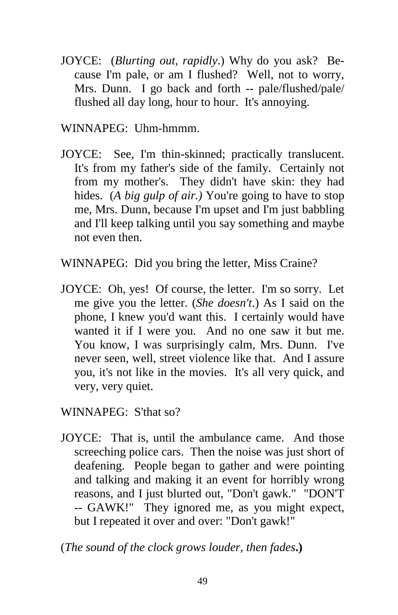JOYCE: (*Blurting out, rapidly*.) Why do you ask? Because I'm pale, or am I flushed? Well, not to worry, Mrs. Dunn. I go back and forth -- pale/flushed/pale/ flushed all day long, hour to hour. It's annoying.

WINNAPEG: Uhm-hmmm.

- JOYCE: See, I'm thin-skinned; practically translucent. It's from my father's side of the family. Certainly not from my mother's. They didn't have skin: they had hides. (*A big gulp of air.)* You're going to have to stop me, Mrs. Dunn, because I'm upset and I'm just babbling and I'll keep talking until you say something and maybe not even then.
- WINNAPEG: Did you bring the letter, Miss Craine?
- JOYCE: Oh, yes! Of course, the letter. I'm so sorry. Let me give you the letter. (*She doesn't*.) As I said on the phone, I knew you'd want this. I certainly would have wanted it if I were you. And no one saw it but me. You know, I was surprisingly calm, Mrs. Dunn. I've never seen, well, street violence like that. And I assure you, it's not like in the movies. It's all very quick, and very, very quiet.
- WINNAPEG: S'that so?
- JOYCE: That is, until the ambulance came. And those screeching police cars. Then the noise was just short of deafening. People began to gather and were pointing and talking and making it an event for horribly wrong reasons, and I just blurted out, "Don't gawk." "DON'T -- GAWK!" They ignored me, as you might expect, but I repeated it over and over: "Don't gawk!"

(*The sound of the clock grows louder, then fades***.)**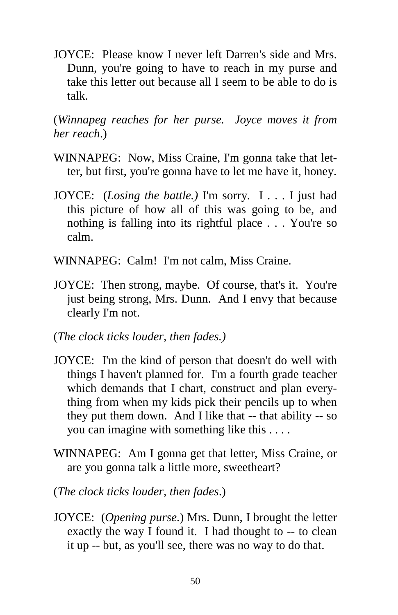JOYCE: Please know I never left Darren's side and Mrs. Dunn, you're going to have to reach in my purse and take this letter out because all I seem to be able to do is talk.

(*Winnapeg reaches for her purse. Joyce moves it from her reach*.)

- WINNAPEG: Now, Miss Craine, I'm gonna take that letter, but first, you're gonna have to let me have it, honey.
- JOYCE: (*Losing the battle.)* I'm sorry. I . . . I just had this picture of how all of this was going to be, and nothing is falling into its rightful place . . . You're so calm.
- WINNAPEG: Calm! I'm not calm, Miss Craine.
- JOYCE: Then strong, maybe. Of course, that's it. You're just being strong, Mrs. Dunn. And I envy that because clearly I'm not.
- (*The clock ticks louder, then fades.)*
- JOYCE: I'm the kind of person that doesn't do well with things I haven't planned for. I'm a fourth grade teacher which demands that I chart, construct and plan everything from when my kids pick their pencils up to when they put them down. And I like that -- that ability -- so you can imagine with something like this . . . .
- WINNAPEG: Am I gonna get that letter, Miss Craine, or are you gonna talk a little more, sweetheart?
- (*The clock ticks louder, then fades*.)
- JOYCE: (*Opening purse*.) Mrs. Dunn, I brought the letter exactly the way I found it. I had thought to -- to clean it up -- but, as you'll see, there was no way to do that.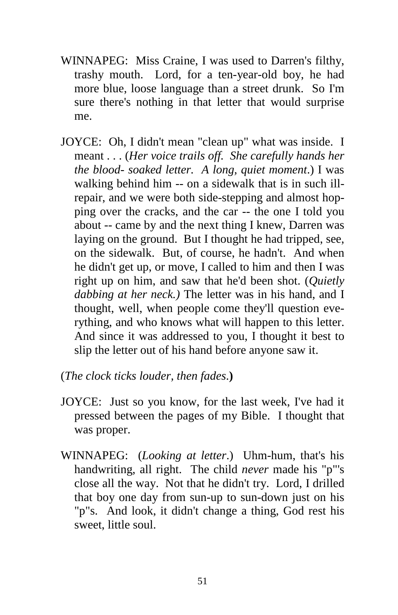- WINNAPEG: Miss Craine, I was used to Darren's filthy, trashy mouth. Lord, for a ten-year-old boy, he had more blue, loose language than a street drunk. So I'm sure there's nothing in that letter that would surprise me.
- JOYCE: Oh, I didn't mean "clean up" what was inside. I meant . . . (*Her voice trails off. She carefully hands her the blood- soaked letter. A long, quiet moment*.) I was walking behind him -- on a sidewalk that is in such illrepair, and we were both side-stepping and almost hopping over the cracks, and the car -- the one I told you about -- came by and the next thing I knew, Darren was laying on the ground. But I thought he had tripped, see, on the sidewalk. But, of course, he hadn't. And when he didn't get up, or move, I called to him and then I was right up on him, and saw that he'd been shot. (*Quietly dabbing at her neck.)* The letter was in his hand, and I thought, well, when people come they'll question everything, and who knows what will happen to this letter. And since it was addressed to you, I thought it best to slip the letter out of his hand before anyone saw it.
- (*The clock ticks louder, then fades*.**)**
- JOYCE: Just so you know, for the last week, I've had it pressed between the pages of my Bible. I thought that was proper.
- WINNAPEG: (*Looking at letter*.) Uhm-hum, that's his handwriting, all right. The child *never* made his "p"'s close all the way. Not that he didn't try. Lord, I drilled that boy one day from sun-up to sun-down just on his "p"s. And look, it didn't change a thing, God rest his sweet, little soul.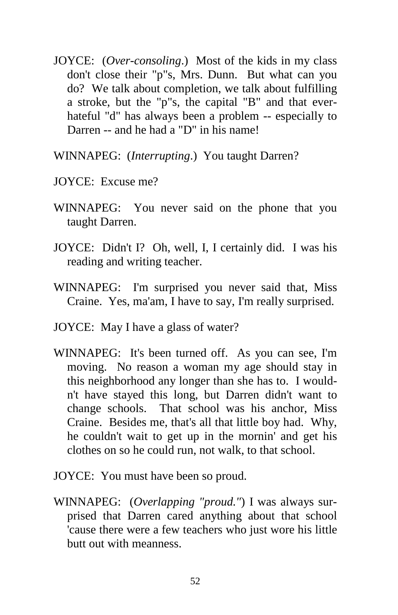JOYCE: (*Over-consoling*.) Most of the kids in my class don't close their "p"s, Mrs. Dunn. But what can you do? We talk about completion, we talk about fulfilling a stroke, but the "p"s, the capital "B" and that everhateful "d" has always been a problem -- especially to Darren -- and he had a "D" in his name!

WINNAPEG: (*Interrupting*.) You taught Darren?

- JOYCE: Excuse me?
- WINNAPEG: You never said on the phone that you taught Darren.
- JOYCE: Didn't I? Oh, well, I, I certainly did. I was his reading and writing teacher.
- WINNAPEG: I'm surprised you never said that, Miss Craine. Yes, ma'am, I have to say, I'm really surprised.
- JOYCE: May I have a glass of water?
- WINNAPEG: It's been turned off. As you can see, I'm moving. No reason a woman my age should stay in this neighborhood any longer than she has to. I wouldn't have stayed this long, but Darren didn't want to change schools. That school was his anchor, Miss Craine. Besides me, that's all that little boy had. Why, he couldn't wait to get up in the mornin' and get his clothes on so he could run, not walk, to that school.
- JOYCE: You must have been so proud.
- WINNAPEG: (*Overlapping "proud."*) I was always surprised that Darren cared anything about that school 'cause there were a few teachers who just wore his little butt out with meanness.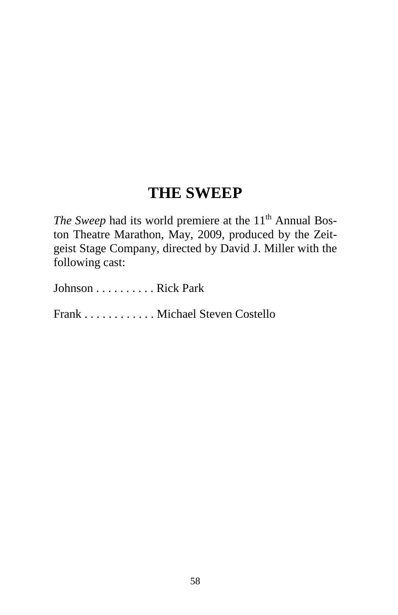# **THE SWEEP**

*The Sweep* had its world premiere at the 11<sup>th</sup> Annual Boston Theatre Marathon, May, 2009, produced by the Zeitgeist Stage Company, directed by David J. Miller with the following cast:

Johnson . . . . . . . . . . Rick Park

Frank . . . . . . . . . . . . Michael Steven Costello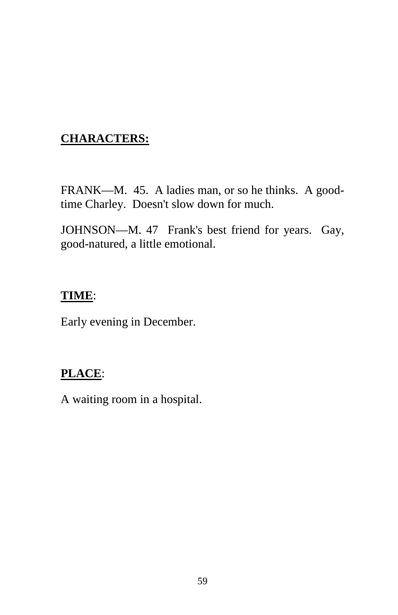# **CHARACTERS:**

FRANK—M. 45. A ladies man, or so he thinks. A goodtime Charley. Doesn't slow down for much.

JOHNSON—M. 47 Frank's best friend for years. Gay, good-natured, a little emotional.

### **TIME**:

Early evening in December.

### **PLACE**:

A waiting room in a hospital.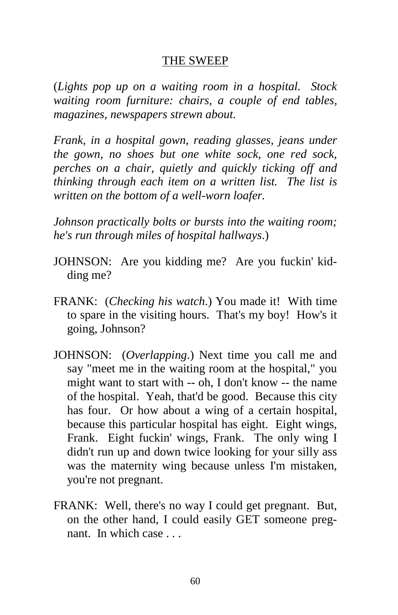### THE SWEEP

(*Lights pop up on a waiting room in a hospital. Stock waiting room furniture: chairs, a couple of end tables, magazines, newspapers strewn about.* 

*Frank, in a hospital gown, reading glasses, jeans under the gown, no shoes but one white sock, one red sock, perches on a chair, quietly and quickly ticking off and thinking through each item on a written list. The list is written on the bottom of a well-worn loafer.* 

*Johnson practically bolts or bursts into the waiting room; he's run through miles of hospital hallways*.)

- JOHNSON: Are you kidding me? Are you fuckin' kidding me?
- FRANK: (*Checking his watch*.) You made it! With time to spare in the visiting hours. That's my boy! How's it going, Johnson?
- JOHNSON: (*Overlapping*.) Next time you call me and say "meet me in the waiting room at the hospital," you might want to start with -- oh, I don't know -- the name of the hospital. Yeah, that'd be good. Because this city has four. Or how about a wing of a certain hospital, because this particular hospital has eight. Eight wings, Frank. Eight fuckin' wings, Frank. The only wing I didn't run up and down twice looking for your silly ass was the maternity wing because unless I'm mistaken, you're not pregnant.
- FRANK: Well, there's no way I could get pregnant. But, on the other hand, I could easily GET someone pregnant. In which case . . .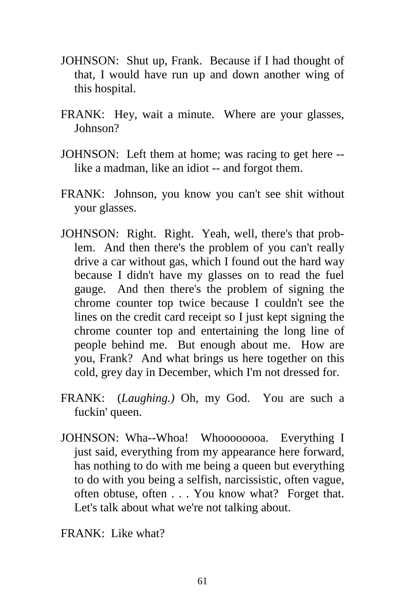- JOHNSON: Shut up, Frank. Because if I had thought of that, I would have run up and down another wing of this hospital.
- FRANK: Hey, wait a minute. Where are your glasses, Johnson?
- JOHNSON: Left them at home; was racing to get here like a madman, like an idiot -- and forgot them.
- FRANK: Johnson, you know you can't see shit without your glasses.
- JOHNSON: Right. Right. Yeah, well, there's that problem. And then there's the problem of you can't really drive a car without gas, which I found out the hard way because I didn't have my glasses on to read the fuel gauge. And then there's the problem of signing the chrome counter top twice because I couldn't see the lines on the credit card receipt so I just kept signing the chrome counter top and entertaining the long line of people behind me. But enough about me. How are you, Frank? And what brings us here together on this cold, grey day in December, which I'm not dressed for.
- FRANK: (*Laughing.)* Oh, my God. You are such a fuckin' queen.
- JOHNSON: Wha--Whoa! Whoooooooa. Everything I just said, everything from my appearance here forward, has nothing to do with me being a queen but everything to do with you being a selfish, narcissistic, often vague, often obtuse, often . . . You know what? Forget that. Let's talk about what we're not talking about.

FRANK: Like what?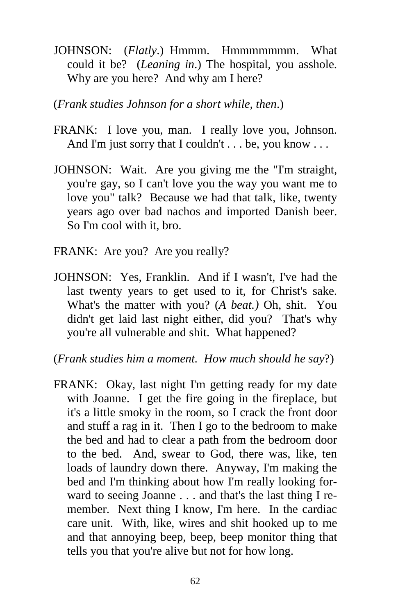JOHNSON: (Flatly.) Hmmm. Hmmmmmmm. What could it be? (*Leaning in*.) The hospital, you asshole. Why are you here? And why am I here?

(*Frank studies Johnson for a short while, then*.)

- FRANK: I love you, man. I really love you, Johnson. And I'm just sorry that I couldn't . . . be, you know . . .
- JOHNSON: Wait. Are you giving me the "I'm straight, you're gay, so I can't love you the way you want me to love you" talk? Because we had that talk, like, twenty years ago over bad nachos and imported Danish beer. So I'm cool with it, bro.
- FRANK: Are you? Are you really?
- JOHNSON: Yes, Franklin. And if I wasn't, I've had the last twenty years to get used to it, for Christ's sake. What's the matter with you? (*A beat.)* Oh, shit. You didn't get laid last night either, did you? That's why you're all vulnerable and shit. What happened?

(*Frank studies him a moment. How much should he say*?)

FRANK: Okay, last night I'm getting ready for my date with Joanne. I get the fire going in the fireplace, but it's a little smoky in the room, so I crack the front door and stuff a rag in it. Then I go to the bedroom to make the bed and had to clear a path from the bedroom door to the bed. And, swear to God, there was, like, ten loads of laundry down there. Anyway, I'm making the bed and I'm thinking about how I'm really looking forward to seeing Joanne . . . and that's the last thing I remember. Next thing I know, I'm here. In the cardiac care unit. With, like, wires and shit hooked up to me and that annoying beep, beep, beep monitor thing that tells you that you're alive but not for how long.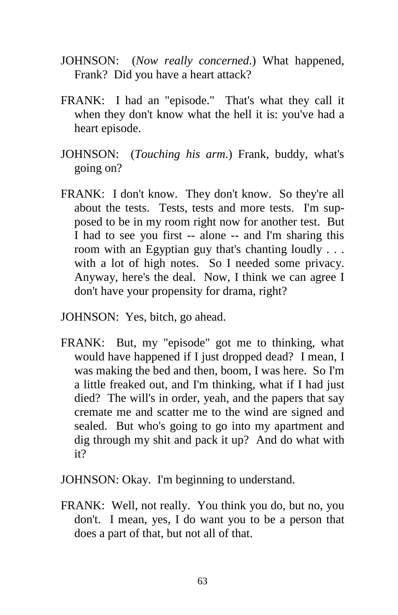- JOHNSON: (*Now really concerned*.) What happened, Frank? Did you have a heart attack?
- FRANK: I had an "episode." That's what they call it when they don't know what the hell it is: you've had a heart episode.
- JOHNSON: (*Touching his arm*.) Frank, buddy, what's going on?
- FRANK: I don't know. They don't know. So they're all about the tests. Tests, tests and more tests. I'm supposed to be in my room right now for another test. But I had to see you first -- alone -- and I'm sharing this room with an Egyptian guy that's chanting loudly . . . with a lot of high notes. So I needed some privacy. Anyway, here's the deal. Now, I think we can agree I don't have your propensity for drama, right?
- JOHNSON: Yes, bitch, go ahead.
- FRANK: But, my "episode" got me to thinking, what would have happened if I just dropped dead? I mean, I was making the bed and then, boom, I was here. So I'm a little freaked out, and I'm thinking, what if I had just died? The will's in order, yeah, and the papers that say cremate me and scatter me to the wind are signed and sealed. But who's going to go into my apartment and dig through my shit and pack it up? And do what with it?
- JOHNSON: Okay. I'm beginning to understand.
- FRANK: Well, not really. You think you do, but no, you don't. I mean, yes, I do want you to be a person that does a part of that, but not all of that.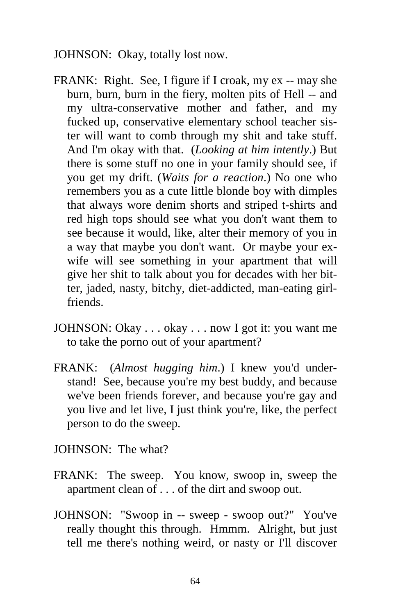JOHNSON: Okay, totally lost now.

- FRANK: Right. See, I figure if I croak, my ex -- may she burn, burn, burn in the fiery, molten pits of Hell -- and my ultra-conservative mother and father, and my fucked up, conservative elementary school teacher sister will want to comb through my shit and take stuff. And I'm okay with that. (*Looking at him intently*.) But there is some stuff no one in your family should see, if you get my drift. (*Waits for a reaction*.) No one who remembers you as a cute little blonde boy with dimples that always wore denim shorts and striped t-shirts and red high tops should see what you don't want them to see because it would, like, alter their memory of you in a way that maybe you don't want. Or maybe your exwife will see something in your apartment that will give her shit to talk about you for decades with her bitter, jaded, nasty, bitchy, diet-addicted, man-eating girlfriends.
- JOHNSON: Okay . . . okay . . . now I got it: you want me to take the porno out of your apartment?
- FRANK: (*Almost hugging him*.) I knew you'd understand! See, because you're my best buddy, and because we've been friends forever, and because you're gay and you live and let live, I just think you're, like, the perfect person to do the sweep.
- JOHNSON: The what?
- FRANK: The sweep. You know, swoop in, sweep the apartment clean of . . . of the dirt and swoop out.
- JOHNSON: "Swoop in -- sweep swoop out?" You've really thought this through. Hmmm. Alright, but just tell me there's nothing weird, or nasty or I'll discover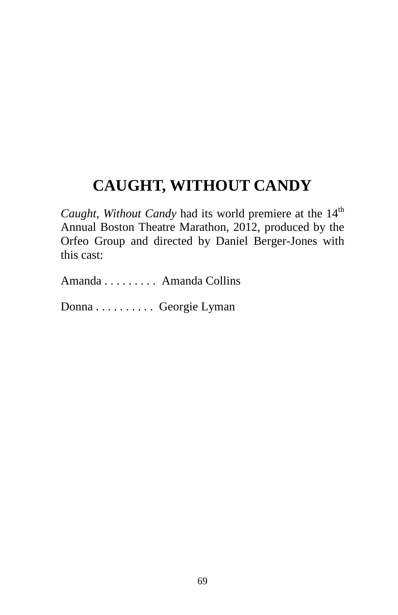# **CAUGHT, WITHOUT CANDY**

*Caught, Without Candy* had its world premiere at the 14<sup>th</sup> Annual Boston Theatre Marathon, 2012, produced by the Orfeo Group and directed by Daniel Berger-Jones with this cast:

Amanda . . . . . . . . . Amanda Collins

Donna . . . . . . . . . . Georgie Lyman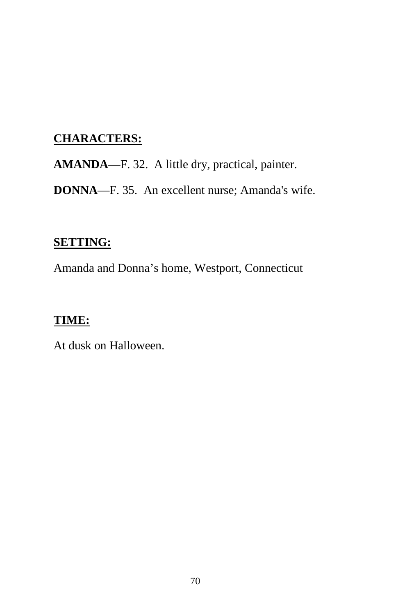## **CHARACTERS:**

**AMANDA**—F. 32. A little dry, practical, painter.

**DONNA**—F. 35. An excellent nurse; Amanda's wife.

### **SETTING:**

Amanda and Donna's home, Westport, Connecticut

### **TIME:**

At dusk on Halloween.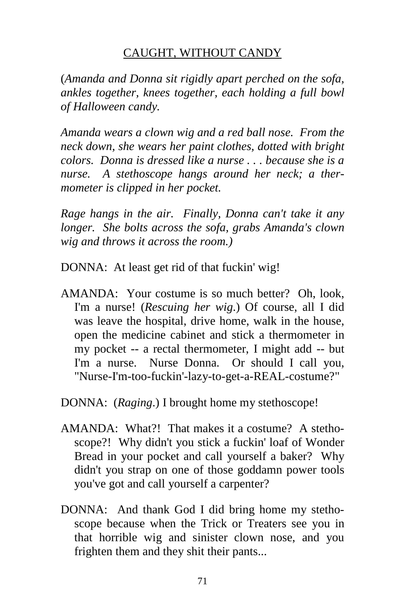### CAUGHT, WITHOUT CANDY

(*Amanda and Donna sit rigidly apart perched on the sofa, ankles together, knees together, each holding a full bowl of Halloween candy.* 

*Amanda wears a clown wig and a red ball nose. From the neck down, she wears her paint clothes, dotted with bright colors. Donna is dressed like a nurse . . . because she is a nurse. A stethoscope hangs around her neck; a thermometer is clipped in her pocket.* 

*Rage hangs in the air. Finally, Donna can't take it any longer. She bolts across the sofa, grabs Amanda's clown wig and throws it across the room.)* 

DONNA: At least get rid of that fuckin' wig!

AMANDA: Your costume is so much better? Oh, look, I'm a nurse! (*Rescuing her wig*.) Of course, all I did was leave the hospital, drive home, walk in the house, open the medicine cabinet and stick a thermometer in my pocket -- a rectal thermometer, I might add -- but I'm a nurse. Nurse Donna. Or should I call you, "Nurse-I'm-too-fuckin'-lazy-to-get-a-REAL-costume?"

DONNA: (*Raging*.) I brought home my stethoscope!

- AMANDA: What?! That makes it a costume? A stethoscope?! Why didn't you stick a fuckin' loaf of Wonder Bread in your pocket and call yourself a baker? Why didn't you strap on one of those goddamn power tools you've got and call yourself a carpenter?
- DONNA: And thank God I did bring home my stethoscope because when the Trick or Treaters see you in that horrible wig and sinister clown nose, and you frighten them and they shit their pants...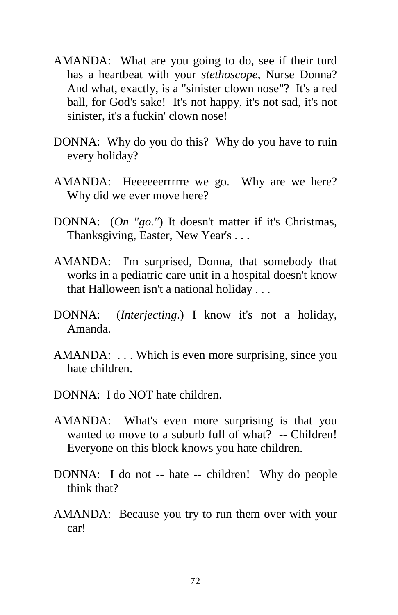- AMANDA: What are you going to do, see if their turd has a heartbeat with your *stethoscope*, Nurse Donna? And what, exactly, is a "sinister clown nose"? It's a red ball, for God's sake! It's not happy, it's not sad, it's not sinister, it's a fuckin' clown nose!
- DONNA: Why do you do this? Why do you have to ruin every holiday?
- AMANDA: Heeeeeerrrrre we go. Why are we here? Why did we ever move here?
- DONNA: (*On "go."*) It doesn't matter if it's Christmas, Thanksgiving, Easter, New Year's . . .
- AMANDA: I'm surprised, Donna, that somebody that works in a pediatric care unit in a hospital doesn't know that Halloween isn't a national holiday . . .
- DONNA: (*Interjecting*.) I know it's not a holiday, Amanda.
- AMANDA: . . . Which is even more surprising, since you hate children.
- DONNA: I do NOT hate children.
- AMANDA: What's even more surprising is that you wanted to move to a suburb full of what? -- Children! Everyone on this block knows you hate children.
- DONNA: I do not -- hate -- children! Why do people think that?
- AMANDA: Because you try to run them over with your car!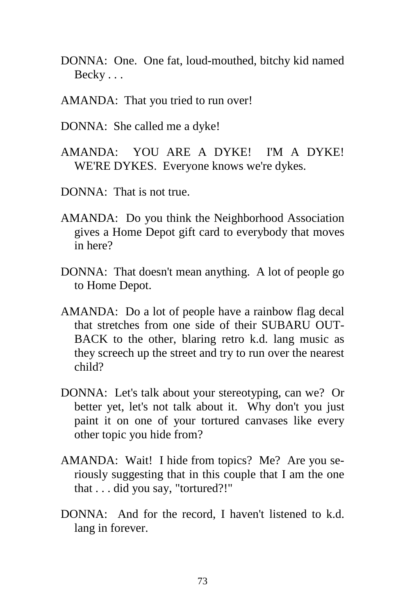- DONNA: One. One fat, loud-mouthed, bitchy kid named Becky . . .
- AMANDA: That you tried to run over!
- DONNA: She called me a dyke!
- AMANDA: YOU ARE A DYKE! I'M A DYKE! WE'RE DYKES. Everyone knows we're dykes.
- DONNA: That is not true.
- AMANDA: Do you think the Neighborhood Association gives a Home Depot gift card to everybody that moves in here?
- DONNA: That doesn't mean anything. A lot of people go to Home Depot.
- AMANDA: Do a lot of people have a rainbow flag decal that stretches from one side of their SUBARU OUT-BACK to the other, blaring retro k.d. lang music as they screech up the street and try to run over the nearest child?
- DONNA: Let's talk about your stereotyping, can we? Or better yet, let's not talk about it. Why don't you just paint it on one of your tortured canvases like every other topic you hide from?
- AMANDA: Wait! I hide from topics? Me? Are you seriously suggesting that in this couple that I am the one that . . . did you say, "tortured?!"
- DONNA: And for the record, I haven't listened to k.d. lang in forever.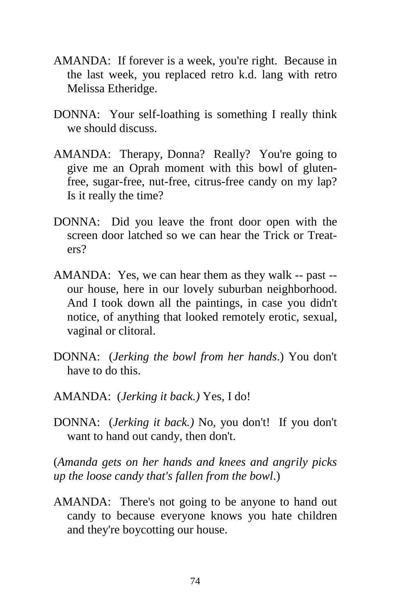- AMANDA: If forever is a week, you're right. Because in the last week, you replaced retro k.d. lang with retro Melissa Etheridge.
- DONNA: Your self-loathing is something I really think we should discuss.
- AMANDA: Therapy, Donna? Really? You're going to give me an Oprah moment with this bowl of glutenfree, sugar-free, nut-free, citrus-free candy on my lap? Is it really the time?
- DONNA: Did you leave the front door open with the screen door latched so we can hear the Trick or Treaters?
- AMANDA: Yes, we can hear them as they walk -- past our house, here in our lovely suburban neighborhood. And I took down all the paintings, in case you didn't notice, of anything that looked remotely erotic, sexual, vaginal or clitoral.
- DONNA: (*Jerking the bowl from her hands*.) You don't have to do this.
- AMANDA: (*Jerking it back.)* Yes, I do!
- DONNA: (*Jerking it back.)* No, you don't! If you don't want to hand out candy, then don't.

(*Amanda gets on her hands and knees and angrily picks up the loose candy that's fallen from the bowl*.)

AMANDA: There's not going to be anyone to hand out candy to because everyone knows you hate children and they're boycotting our house.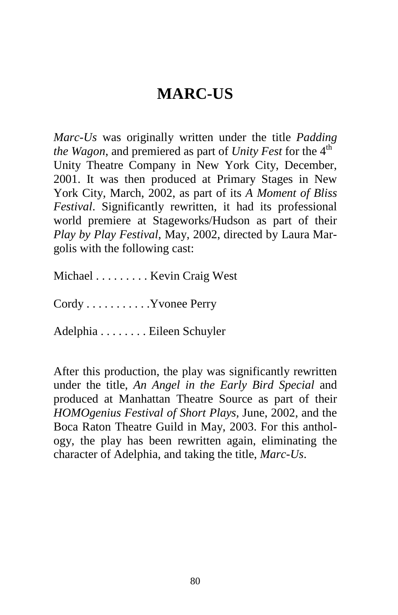# **MARC-US**

*Marc-Us* was originally written under the title *Padding the Wagon*, and premiered as part of *Unity Fest* for the 4<sup>th</sup> Unity Theatre Company in New York City, December, 2001. It was then produced at Primary Stages in New York City, March, 2002, as part of its *A Moment of Bliss Festival*. Significantly rewritten, it had its professional world premiere at Stageworks/Hudson as part of their *Play by Play Festival*, May, 2002, directed by Laura Margolis with the following cast:

Michael . . . . . . . . . Kevin Craig West

Cordy . . . . . . . . . . . Yvonee Perry

Adelphia . . . . . . . . Eileen Schuyler

After this production, the play was significantly rewritten under the title, *An Angel in the Early Bird Special* and produced at Manhattan Theatre Source as part of their *HOMOgenius Festival of Short Plays,* June, 2002, and the Boca Raton Theatre Guild in May, 2003. For this anthology, the play has been rewritten again, eliminating the character of Adelphia, and taking the title, *Marc-Us*.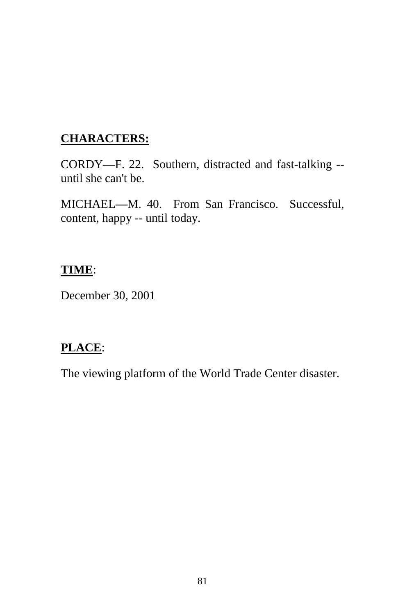# **CHARACTERS:**

CORDY—F. 22. Southern, distracted and fast-talking - until she can't be.

MICHAEL**—**M. 40. From San Francisco. Successful, content, happy -- until today.

### **TIME**:

December 30, 2001

### **PLACE**:

The viewing platform of the World Trade Center disaster.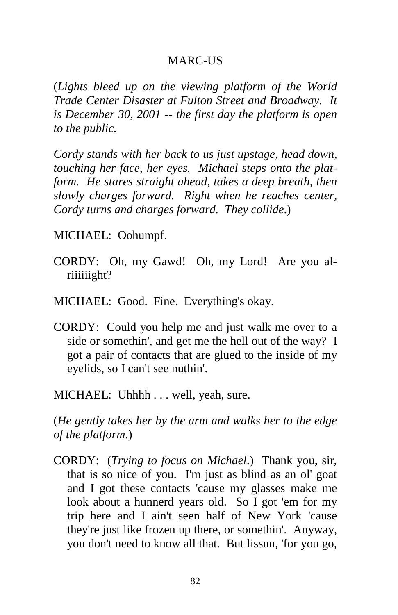### MARC-US

(*Lights bleed up on the viewing platform of the World Trade Center Disaster at Fulton Street and Broadway. It is December 30, 2001 -- the first day the platform is open to the public.* 

*Cordy stands with her back to us just upstage, head down, touching her face, her eyes. Michael steps onto the platform. He stares straight ahead, takes a deep breath, then slowly charges forward. Right when he reaches center, Cordy turns and charges forward. They collide*.)

MICHAEL: Oohumpf.

- CORDY: Oh, my Gawd! Oh, my Lord! Are you alriiiiiight?
- MICHAEL: Good. Fine. Everything's okay.
- CORDY: Could you help me and just walk me over to a side or somethin', and get me the hell out of the way? I got a pair of contacts that are glued to the inside of my eyelids, so I can't see nuthin'.
- MICHAEL: Uhhhh . . . well, yeah, sure.

(*He gently takes her by the arm and walks her to the edge of the platform*.)

CORDY: (*Trying to focus on Michael*.) Thank you, sir, that is so nice of you. I'm just as blind as an ol' goat and I got these contacts 'cause my glasses make me look about a hunnerd years old. So I got 'em for my trip here and I ain't seen half of New York 'cause they're just like frozen up there, or somethin'. Anyway, you don't need to know all that. But lissun, 'for you go,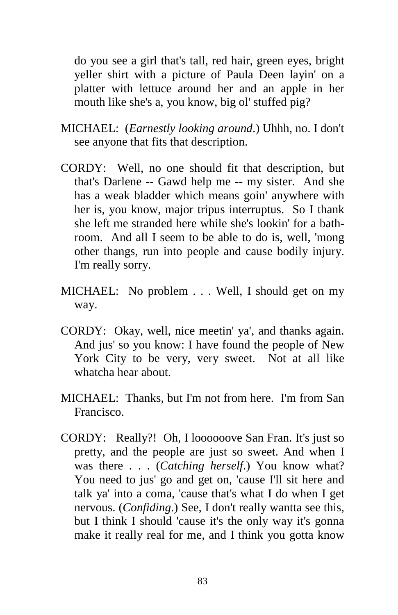do you see a girl that's tall, red hair, green eyes, bright yeller shirt with a picture of Paula Deen layin' on a platter with lettuce around her and an apple in her mouth like she's a, you know, big ol' stuffed pig?

- MICHAEL: (*Earnestly looking around*.) Uhhh, no. I don't see anyone that fits that description.
- CORDY: Well, no one should fit that description, but that's Darlene -- Gawd help me -- my sister. And she has a weak bladder which means goin' anywhere with her is, you know, major tripus interruptus. So I thank she left me stranded here while she's lookin' for a bathroom. And all I seem to be able to do is, well, 'mong other thangs, run into people and cause bodily injury. I'm really sorry.
- MICHAEL: No problem . . . Well, I should get on my way.
- CORDY: Okay, well, nice meetin' ya', and thanks again. And jus' so you know: I have found the people of New York City to be very, very sweet. Not at all like whatcha hear about.
- MICHAEL: Thanks, but I'm not from here. I'm from San Francisco.
- CORDY: Really?! Oh, I loooooove San Fran. It's just so pretty, and the people are just so sweet. And when I was there . . . (*Catching herself*.) You know what? You need to jus' go and get on, 'cause I'll sit here and talk ya' into a coma, 'cause that's what I do when I get nervous. (*Confiding*.) See, I don't really wantta see this, but I think I should 'cause it's the only way it's gonna make it really real for me, and I think you gotta know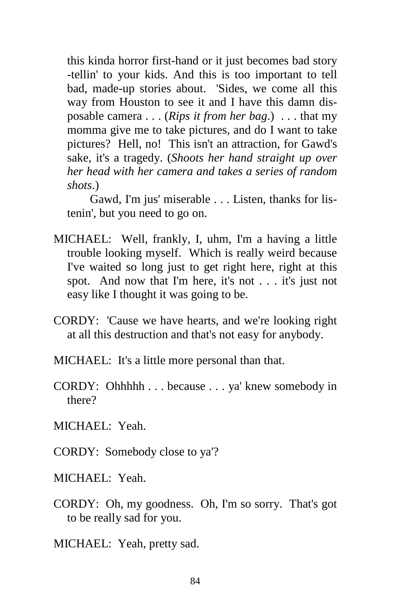this kinda horror first-hand or it just becomes bad story -tellin' to your kids. And this is too important to tell bad, made-up stories about. 'Sides, we come all this way from Houston to see it and I have this damn disposable camera . . . (*Rips it from her bag*.) . . . that my momma give me to take pictures, and do I want to take pictures? Hell, no! This isn't an attraction, for Gawd's sake, it's a tragedy. (*Shoots her hand straight up over her head with her camera and takes a series of random shots*.)

Gawd, I'm jus' miserable . . . Listen, thanks for listenin', but you need to go on.

- MICHAEL: Well, frankly, I, uhm, I'm a having a little trouble looking myself. Which is really weird because I've waited so long just to get right here, right at this spot. And now that I'm here, it's not . . . it's just not easy like I thought it was going to be.
- CORDY: 'Cause we have hearts, and we're looking right at all this destruction and that's not easy for anybody.
- MICHAEL: It's a little more personal than that.
- CORDY: Ohhhhh . . . because . . . ya' knew somebody in there?
- MICHAEL: Yeah.
- CORDY: Somebody close to ya'?
- MICHAEL: Yeah.
- CORDY: Oh, my goodness. Oh, I'm so sorry. That's got to be really sad for you.
- MICHAEL: Yeah, pretty sad.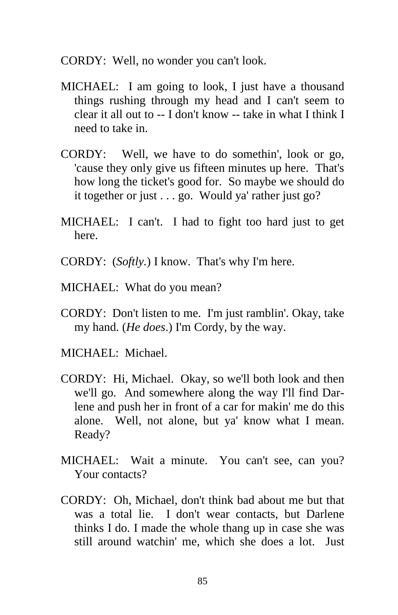CORDY: Well, no wonder you can't look.

- MICHAEL: I am going to look, I just have a thousand things rushing through my head and I can't seem to clear it all out to -- I don't know -- take in what I think I need to take in.
- CORDY: Well, we have to do somethin', look or go, 'cause they only give us fifteen minutes up here. That's how long the ticket's good for. So maybe we should do it together or just . . . go. Would ya' rather just go?
- MICHAEL: I can't. I had to fight too hard just to get here.
- CORDY: (*Softly.*) I know. That's why I'm here.
- MICHAEL: What do you mean?
- CORDY: Don't listen to me. I'm just ramblin'. Okay, take my hand. (*He does*.) I'm Cordy, by the way.
- MICHAEL: Michael.
- CORDY: Hi, Michael. Okay, so we'll both look and then we'll go. And somewhere along the way I'll find Darlene and push her in front of a car for makin' me do this alone. Well, not alone, but ya' know what I mean. Ready?
- MICHAEL: Wait a minute. You can't see, can you? Your contacts?
- CORDY: Oh, Michael, don't think bad about me but that was a total lie. I don't wear contacts, but Darlene thinks I do. I made the whole thang up in case she was still around watchin' me, which she does a lot. Just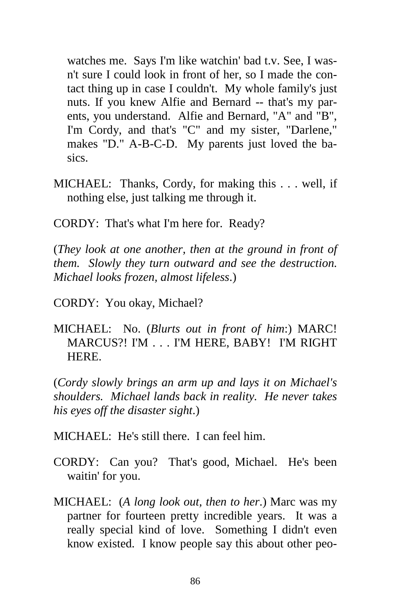watches me. Says I'm like watchin' bad t.v. See, I wasn't sure I could look in front of her, so I made the contact thing up in case I couldn't. My whole family's just nuts. If you knew Alfie and Bernard -- that's my parents, you understand. Alfie and Bernard, "A" and "B", I'm Cordy, and that's "C" and my sister, "Darlene," makes "D." A-B-C-D. My parents just loved the basics.

MICHAEL: Thanks, Cordy, for making this . . . well, if nothing else, just talking me through it.

CORDY: That's what I'm here for. Ready?

(*They look at one another, then at the ground in front of them. Slowly they turn outward and see the destruction. Michael looks frozen, almost lifeless*.)

CORDY: You okay, Michael?

MICHAEL: No. (*Blurts out in front of him*:) MARC! MARCUS?! I'M . . . I'M HERE, BABY! I'M RIGHT HERE.

(*Cordy slowly brings an arm up and lays it on Michael's shoulders. Michael lands back in reality. He never takes his eyes off the disaster sight*.)

MICHAEL: He's still there. I can feel him.

- CORDY: Can you? That's good, Michael. He's been waitin' for you.
- MICHAEL: (*A long look out, then to her*.) Marc was my partner for fourteen pretty incredible years. It was a really special kind of love. Something I didn't even know existed. I know people say this about other peo-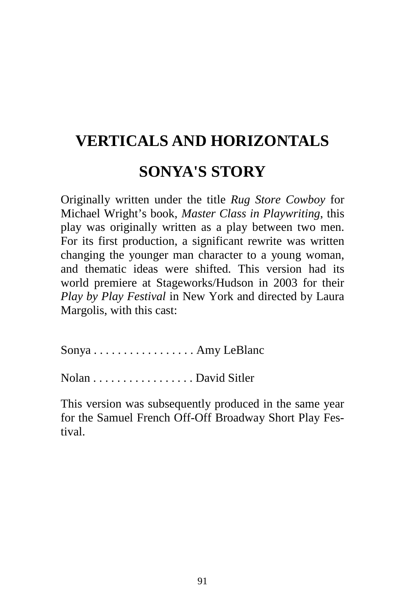# **VERTICALS AND HORIZONTALS SONYA'S STORY**

Originally written under the title *Rug Store Cowboy* for Michael Wright's book, *Master Class in Playwriting*, this play was originally written as a play between two men. For its first production, a significant rewrite was written changing the younger man character to a young woman, and thematic ideas were shifted. This version had its world premiere at Stageworks/Hudson in 2003 for their *Play by Play Festival* in New York and directed by Laura Margolis, with this cast:

Sonya . . . . . . . . . . . . . . . . . Amy LeBlanc

Nolan . . . . . . . . . . . . . . . . . David Sitler

This version was subsequently produced in the same year for the Samuel French Off-Off Broadway Short Play Festival.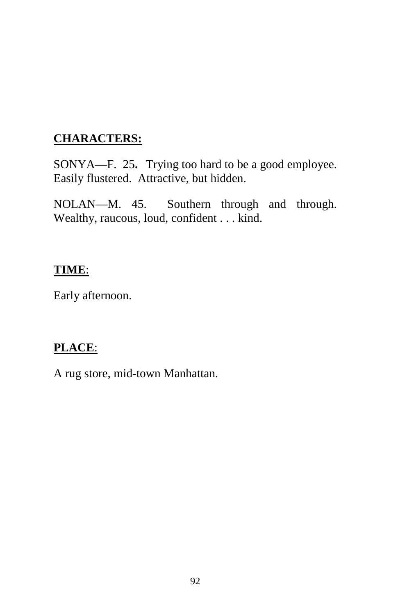## **CHARACTERS:**

SONYA—F. 25**.** Trying too hard to be a good employee. Easily flustered. Attractive, but hidden.

NOLAN—M. 45. Southern through and through. Wealthy, raucous, loud, confident . . . kind.

### **TIME**:

Early afternoon.

### **PLACE**:

A rug store, mid-town Manhattan.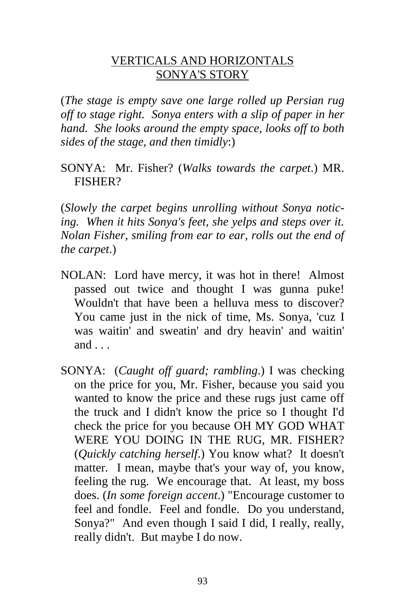### VERTICALS AND HORIZONTALS SONYA'S STORY

(*The stage is empty save one large rolled up Persian rug off to stage right. Sonya enters with a slip of paper in her hand. She looks around the empty space, looks off to both sides of the stage, and then timidly*:)

SONYA: Mr. Fisher? (*Walks towards the carpet*.) MR. FISHER?

(*Slowly the carpet begins unrolling without Sonya noticing. When it hits Sonya's feet, she yelps and steps over it. Nolan Fisher, smiling from ear to ear, rolls out the end of the carpet*.)

- NOLAN: Lord have mercy, it was hot in there! Almost passed out twice and thought I was gunna puke! Wouldn't that have been a helluva mess to discover? You came just in the nick of time, Ms. Sonya, 'cuz I was waitin' and sweatin' and dry heavin' and waitin' and  $\mathbf{r}$
- SONYA: (*Caught off guard; rambling*.) I was checking on the price for you, Mr. Fisher, because you said you wanted to know the price and these rugs just came off the truck and I didn't know the price so I thought I'd check the price for you because OH MY GOD WHAT WERE YOU DOING IN THE RUG, MR. FISHER? (*Quickly catching herself*.) You know what? It doesn't matter. I mean, maybe that's your way of, you know, feeling the rug. We encourage that. At least, my boss does. (*In some foreign accent*.) "Encourage customer to feel and fondle. Feel and fondle. Do you understand, Sonya?" And even though I said I did, I really, really, really didn't. But maybe I do now.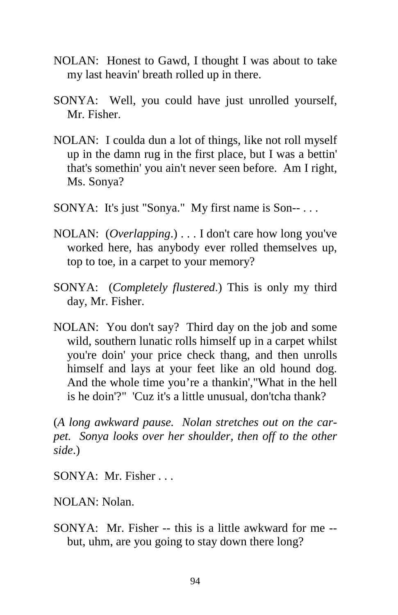- NOLAN: Honest to Gawd, I thought I was about to take my last heavin' breath rolled up in there.
- SONYA: Well, you could have just unrolled yourself, Mr. Fisher.
- NOLAN: I coulda dun a lot of things, like not roll myself up in the damn rug in the first place, but I was a bettin' that's somethin' you ain't never seen before. Am I right, Ms. Sonya?
- SONYA: It's just "Sonya." My first name is Son--...
- NOLAN: (*Overlapping*.) . . . I don't care how long you've worked here, has anybody ever rolled themselves up, top to toe, in a carpet to your memory?
- SONYA: (*Completely flustered*.) This is only my third day, Mr. Fisher.
- NOLAN: You don't say? Third day on the job and some wild, southern lunatic rolls himself up in a carpet whilst you're doin' your price check thang, and then unrolls himself and lays at your feet like an old hound dog. And the whole time you're a thankin',"What in the hell is he doin'?" 'Cuz it's a little unusual, don'tcha thank?

(*A long awkward pause. Nolan stretches out on the carpet. Sonya looks over her shoulder, then off to the other side*.)

SONYA: Mr. Fisher . . .

NOLAN: Nolan.

SONYA: Mr. Fisher -- this is a little awkward for me - but, uhm, are you going to stay down there long?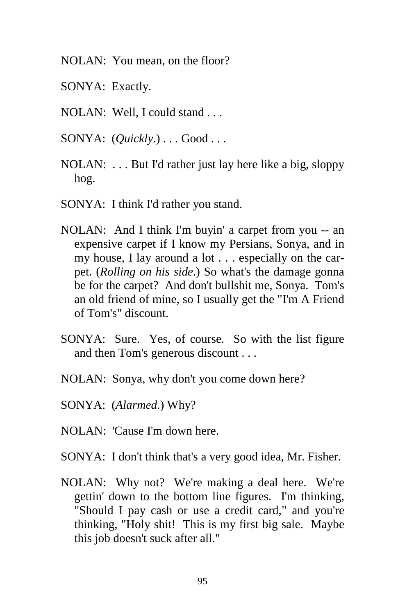- NOLAN: You mean, on the floor?
- SONYA: Exactly.
- NOLAN: Well, I could stand . . .
- SONYA: (*Quickly*.) . . . Good . . .
- NOLAN: . . . But I'd rather just lay here like a big, sloppy hog.
- SONYA: I think I'd rather you stand.
- NOLAN: And I think I'm buyin' a carpet from you -- an expensive carpet if I know my Persians, Sonya, and in my house, I lay around a lot . . . especially on the carpet. (*Rolling on his side*.) So what's the damage gonna be for the carpet? And don't bullshit me, Sonya. Tom's an old friend of mine, so I usually get the "I'm A Friend of Tom's" discount.
- SONYA: Sure. Yes, of course. So with the list figure and then Tom's generous discount . . .
- NOLAN: Sonya, why don't you come down here?
- SONYA: (*Alarmed*.) Why?
- NOLAN: 'Cause I'm down here.
- SONYA: I don't think that's a very good idea, Mr. Fisher.
- NOLAN: Why not? We're making a deal here. We're gettin' down to the bottom line figures. I'm thinking, "Should I pay cash or use a credit card," and you're thinking, "Holy shit! This is my first big sale. Maybe this job doesn't suck after all."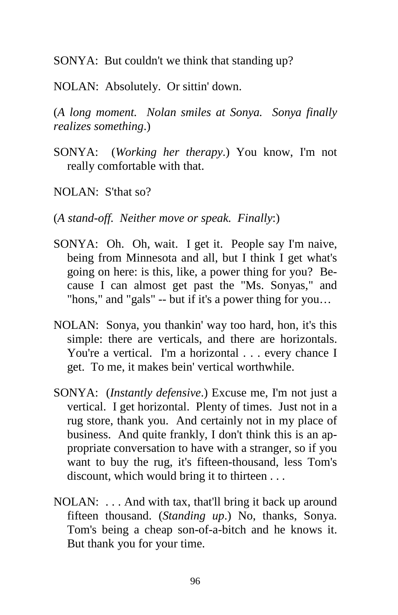SONYA: But couldn't we think that standing up?

NOLAN: Absolutely. Or sittin' down.

(*A long moment. Nolan smiles at Sonya. Sonya finally realizes something*.)

- SONYA: (*Working her therapy*.) You know, I'm not really comfortable with that.
- NOLAN: S'that so?

(*A stand-off. Neither move or speak. Finally*:)

- SONYA: Oh. Oh, wait. I get it. People say I'm naive, being from Minnesota and all, but I think I get what's going on here: is this, like, a power thing for you? Because I can almost get past the "Ms. Sonyas," and "hons," and "gals" -- but if it's a power thing for you…
- NOLAN: Sonya, you thankin' way too hard, hon, it's this simple: there are verticals, and there are horizontals. You're a vertical. I'm a horizontal . . . every chance I get. To me, it makes bein' vertical worthwhile.
- SONYA: (*Instantly defensive*.) Excuse me, I'm not just a vertical. I get horizontal. Plenty of times. Just not in a rug store, thank you. And certainly not in my place of business. And quite frankly, I don't think this is an appropriate conversation to have with a stranger, so if you want to buy the rug, it's fifteen-thousand, less Tom's discount, which would bring it to thirteen . . .
- NOLAN: . . . And with tax, that'll bring it back up around fifteen thousand. (*Standing up*.) No, thanks, Sonya. Tom's being a cheap son-of-a-bitch and he knows it. But thank you for your time.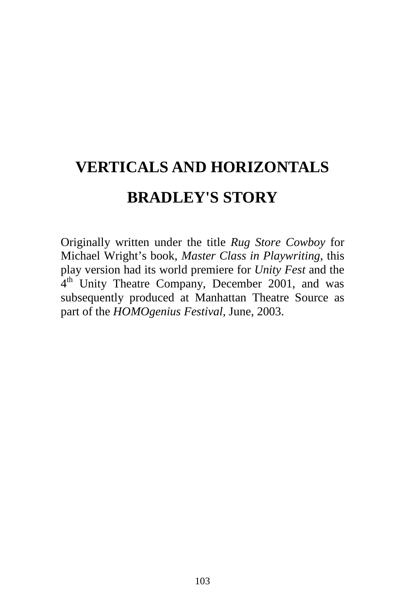# **VERTICALS AND HORIZONTALS BRADLEY'S STORY**

Originally written under the title *Rug Store Cowboy* for Michael Wright's book, *Master Class in Playwriting*, this play version had its world premiere for *Unity Fest* and the 4<sup>th</sup> Unity Theatre Company, December 2001, and was subsequently produced at Manhattan Theatre Source as part of the *HOMOgenius Festival*, June, 2003.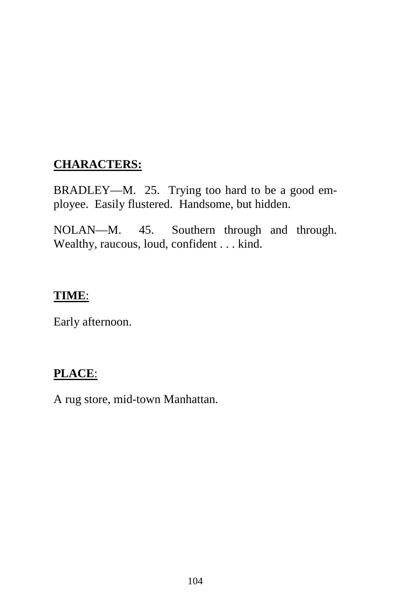# **CHARACTERS:**

BRADLEY—M. 25. Trying too hard to be a good employee. Easily flustered. Handsome, but hidden.

NOLAN—M. 45. Southern through and through. Wealthy, raucous, loud, confident . . . kind.

### **TIME**:

Early afternoon.

### **PLACE**:

A rug store, mid-town Manhattan.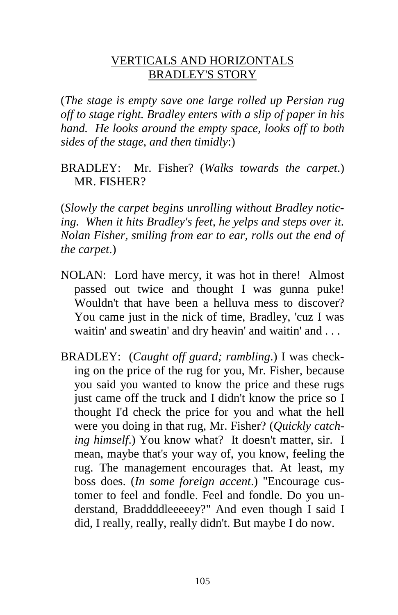### VERTICALS AND HORIZONTALS BRADLEY'S STORY

(*The stage is empty save one large rolled up Persian rug off to stage right. Bradley enters with a slip of paper in his hand. He looks around the empty space, looks off to both sides of the stage, and then timidly*:)

BRADLEY: Mr. Fisher? (*Walks towards the carpet*.) MR. FISHER?

(*Slowly the carpet begins unrolling without Bradley noticing. When it hits Bradley's feet, he yelps and steps over it. Nolan Fisher, smiling from ear to ear, rolls out the end of the carpet*.)

- NOLAN: Lord have mercy, it was hot in there! Almost passed out twice and thought I was gunna puke! Wouldn't that have been a helluva mess to discover? You came just in the nick of time, Bradley, 'cuz I was waitin' and sweatin' and dry heavin' and waitin' and . . .
- BRADLEY: (*Caught off guard; rambling*.) I was checking on the price of the rug for you, Mr. Fisher, because you said you wanted to know the price and these rugs just came off the truck and I didn't know the price so I thought I'd check the price for you and what the hell were you doing in that rug, Mr. Fisher? (*Quickly catching himself*.) You know what? It doesn't matter, sir. I mean, maybe that's your way of, you know, feeling the rug. The management encourages that. At least, my boss does. (*In some foreign accent*.) "Encourage customer to feel and fondle. Feel and fondle. Do you understand, Braddddleeeeey?" And even though I said I did, I really, really, really didn't. But maybe I do now.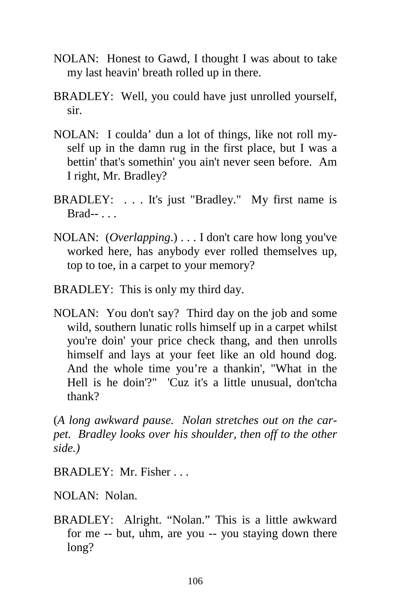- NOLAN: Honest to Gawd, I thought I was about to take my last heavin' breath rolled up in there.
- BRADLEY: Well, you could have just unrolled yourself, sir.
- NOLAN: I coulda' dun a lot of things, like not roll myself up in the damn rug in the first place, but I was a bettin' that's somethin' you ain't never seen before. Am I right, Mr. Bradley?
- BRADLEY: . . . It's just "Bradley." My first name is Brad-- . . .
- NOLAN: (*Overlapping*.) . . . I don't care how long you've worked here, has anybody ever rolled themselves up, top to toe, in a carpet to your memory?
- BRADLEY: This is only my third day.
- NOLAN: You don't say? Third day on the job and some wild, southern lunatic rolls himself up in a carpet whilst you're doin' your price check thang, and then unrolls himself and lays at your feet like an old hound dog. And the whole time you're a thankin', "What in the Hell is he doin'?" 'Cuz it's a little unusual, don'tcha thank?

(*A long awkward pause. Nolan stretches out on the carpet. Bradley looks over his shoulder, then off to the other side.)*

BRADLEY: Mr. Fisher . . .

NOLAN: Nolan.

BRADLEY: Alright. "Nolan." This is a little awkward for me -- but, uhm, are you -- you staying down there long?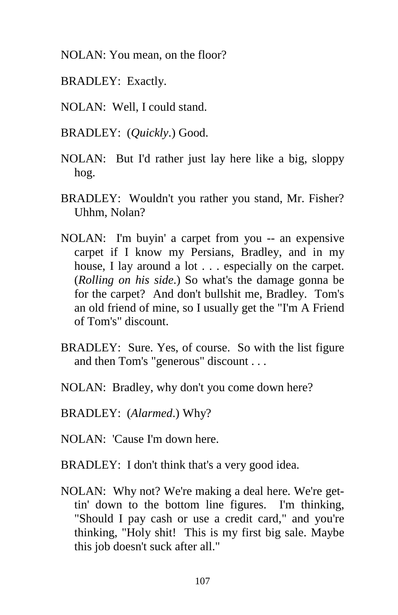NOLAN: You mean, on the floor?

- BRADLEY: Exactly.
- NOLAN: Well, I could stand.
- BRADLEY: (*Quickly*.) Good.
- NOLAN: But I'd rather just lay here like a big, sloppy hog.
- BRADLEY: Wouldn't you rather you stand, Mr. Fisher? Uhhm, Nolan?
- NOLAN: I'm buyin' a carpet from you -- an expensive carpet if I know my Persians, Bradley, and in my house, I lay around a lot . . . especially on the carpet. (*Rolling on his side*.) So what's the damage gonna be for the carpet? And don't bullshit me, Bradley. Tom's an old friend of mine, so I usually get the "I'm A Friend of Tom's" discount.
- BRADLEY: Sure. Yes, of course. So with the list figure and then Tom's "generous" discount . . .
- NOLAN: Bradley, why don't you come down here?
- BRADLEY: (*Alarmed*.) Why?
- NOLAN: 'Cause I'm down here.
- BRADLEY: I don't think that's a very good idea.
- NOLAN: Why not? We're making a deal here. We're gettin' down to the bottom line figures. I'm thinking, "Should I pay cash or use a credit card," and you're thinking, "Holy shit! This is my first big sale. Maybe this job doesn't suck after all."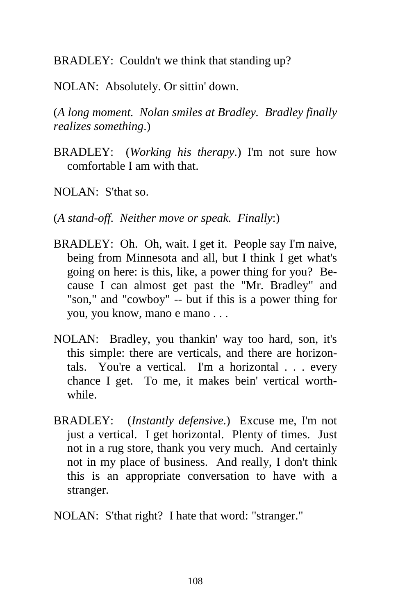BRADLEY: Couldn't we think that standing up?

NOLAN: Absolutely. Or sittin' down.

(*A long moment. Nolan smiles at Bradley. Bradley finally realizes something*.)

- BRADLEY: (*Working his therapy*.) I'm not sure how comfortable I am with that.
- NOLAN: S'that so.
- (*A stand-off. Neither move or speak. Finally*:)
- BRADLEY: Oh. Oh, wait. I get it. People say I'm naive, being from Minnesota and all, but I think I get what's going on here: is this, like, a power thing for you? Because I can almost get past the "Mr. Bradley" and "son," and "cowboy" -- but if this is a power thing for you, you know, mano e mano . . .
- NOLAN: Bradley, you thankin' way too hard, son, it's this simple: there are verticals, and there are horizontals. You're a vertical. I'm a horizontal . . . every chance I get. To me, it makes bein' vertical worthwhile.
- BRADLEY: (*Instantly defensive*.) Excuse me, I'm not just a vertical. I get horizontal. Plenty of times. Just not in a rug store, thank you very much. And certainly not in my place of business. And really, I don't think this is an appropriate conversation to have with a stranger.
- NOLAN: S'that right? I hate that word: "stranger."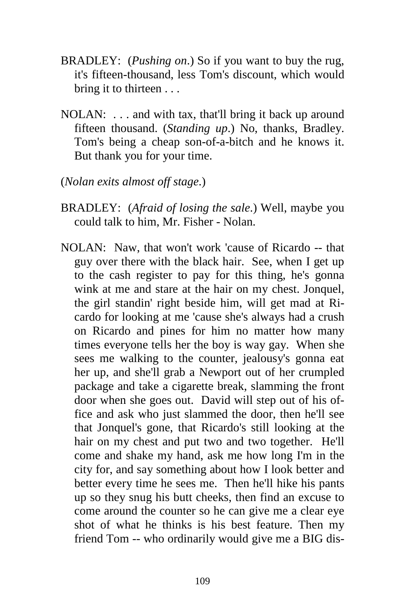- BRADLEY: (*Pushing on*.) So if you want to buy the rug, it's fifteen-thousand, less Tom's discount, which would bring it to thirteen . . .
- NOLAN: . . . and with tax, that'll bring it back up around fifteen thousand. (*Standing up*.) No, thanks, Bradley. Tom's being a cheap son-of-a-bitch and he knows it. But thank you for your time.
- (*Nolan exits almost off stage*.)
- BRADLEY: (*Afraid of losing the sale*.) Well, maybe you could talk to him, Mr. Fisher - Nolan.
- NOLAN: Naw, that won't work 'cause of Ricardo -- that guy over there with the black hair. See, when I get up to the cash register to pay for this thing, he's gonna wink at me and stare at the hair on my chest. Jonquel, the girl standin' right beside him, will get mad at Ricardo for looking at me 'cause she's always had a crush on Ricardo and pines for him no matter how many times everyone tells her the boy is way gay. When she sees me walking to the counter, jealousy's gonna eat her up, and she'll grab a Newport out of her crumpled package and take a cigarette break, slamming the front door when she goes out. David will step out of his office and ask who just slammed the door, then he'll see that Jonquel's gone, that Ricardo's still looking at the hair on my chest and put two and two together. He'll come and shake my hand, ask me how long I'm in the city for, and say something about how I look better and better every time he sees me. Then he'll hike his pants up so they snug his butt cheeks, then find an excuse to come around the counter so he can give me a clear eye shot of what he thinks is his best feature. Then my friend Tom -- who ordinarily would give me a BIG dis-